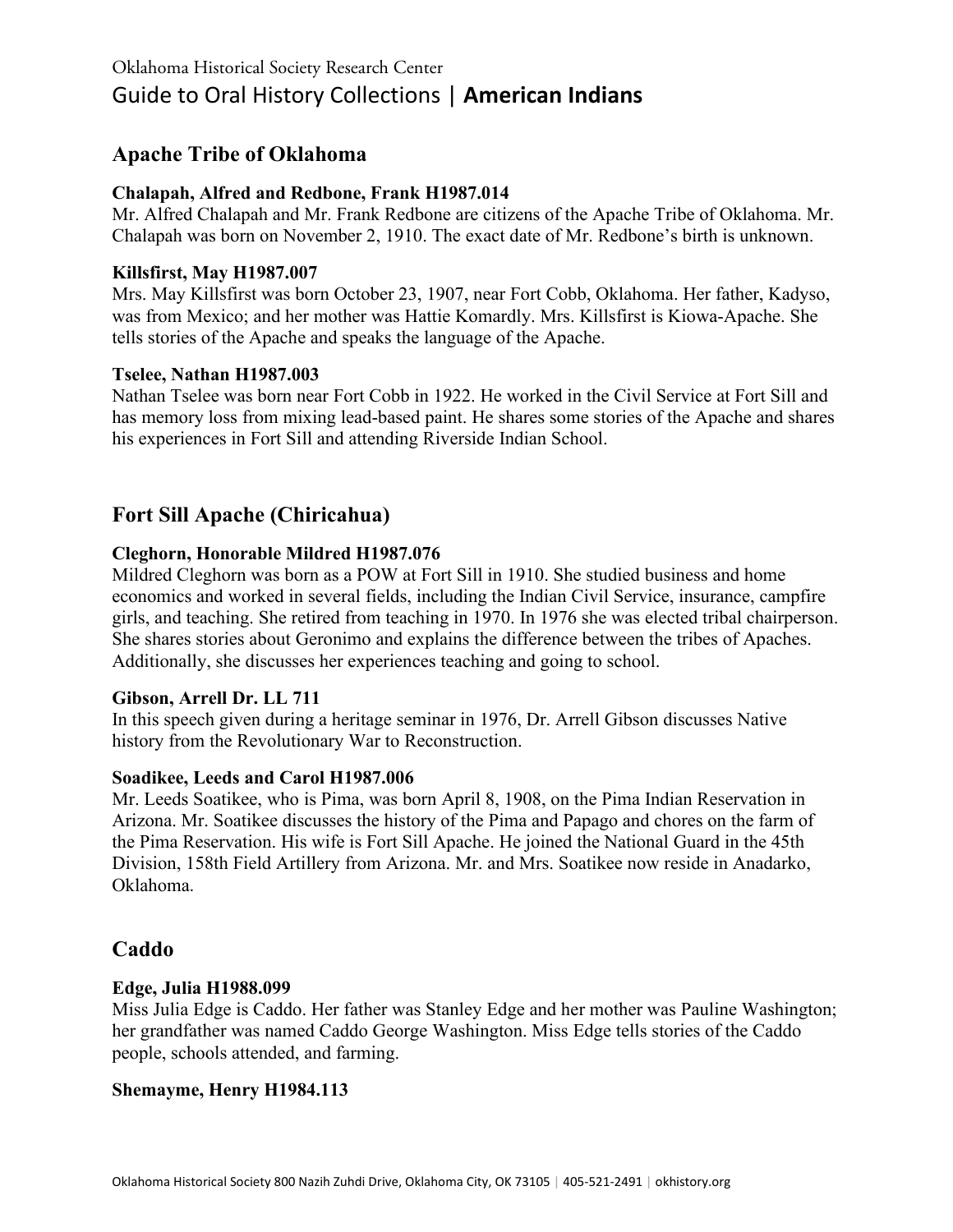# **Apache Tribe of Oklahoma**

# **Chalapah, Alfred and Redbone, Frank H1987.014**

Mr. Alfred Chalapah and Mr. Frank Redbone are citizens of the Apache Tribe of Oklahoma. Mr. Chalapah was born on November 2, 1910. The exact date of Mr. Redbone's birth is unknown.

# **Killsfirst, May H1987.007**

Mrs. May Killsfirst was born October 23, 1907, near Fort Cobb, Oklahoma. Her father, Kadyso, was from Mexico; and her mother was Hattie Komardly. Mrs. Killsfirst is Kiowa-Apache. She tells stories of the Apache and speaks the language of the Apache.

# **Tselee, Nathan H1987.003**

Nathan Tselee was born near Fort Cobb in 1922. He worked in the Civil Service at Fort Sill and has memory loss from mixing lead-based paint. He shares some stories of the Apache and shares his experiences in Fort Sill and attending Riverside Indian School.

# **Fort Sill Apache (Chiricahua)**

# **Cleghorn, Honorable Mildred H1987.076**

Mildred Cleghorn was born as a POW at Fort Sill in 1910. She studied business and home economics and worked in several fields, including the Indian Civil Service, insurance, campfire girls, and teaching. She retired from teaching in 1970. In 1976 she was elected tribal chairperson. She shares stories about Geronimo and explains the difference between the tribes of Apaches. Additionally, she discusses her experiences teaching and going to school.

# **Gibson, Arrell Dr. LL 711**

In this speech given during a heritage seminar in 1976, Dr. Arrell Gibson discusses Native history from the Revolutionary War to Reconstruction.

# **Soadikee, Leeds and Carol H1987.006**

Mr. Leeds Soatikee, who is Pima, was born April 8, 1908, on the Pima Indian Reservation in Arizona. Mr. Soatikee discusses the history of the Pima and Papago and chores on the farm of the Pima Reservation. His wife is Fort Sill Apache. He joined the National Guard in the 45th Division, 158th Field Artillery from Arizona. Mr. and Mrs. Soatikee now reside in Anadarko, Oklahoma.

# **Caddo**

# **Edge, Julia H1988.099**

Miss Julia Edge is Caddo. Her father was Stanley Edge and her mother was Pauline Washington; her grandfather was named Caddo George Washington. Miss Edge tells stories of the Caddo people, schools attended, and farming.

# **Shemayme, Henry H1984.113**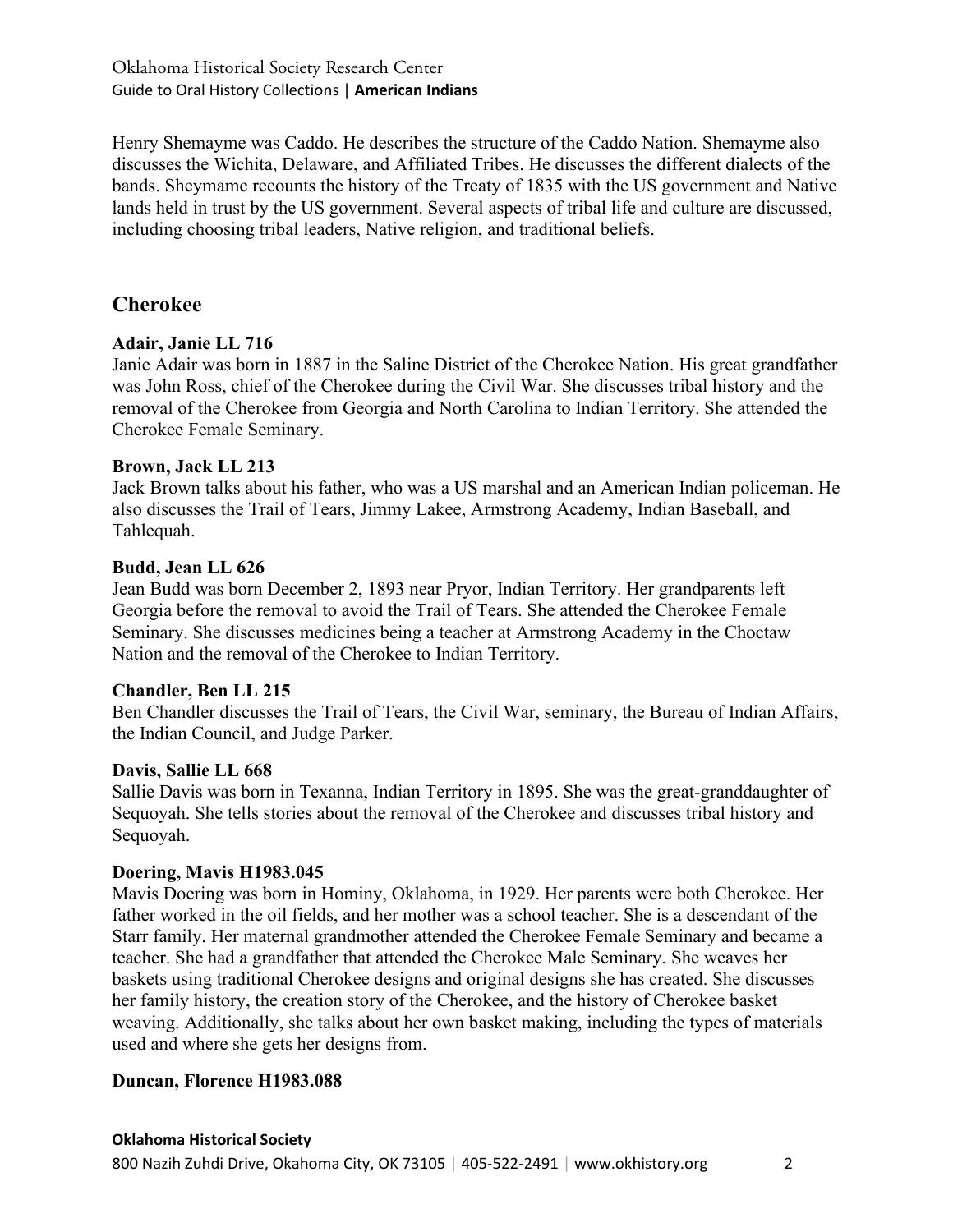Henry Shemayme was Caddo. He describes the structure of the Caddo Nation. Shemayme also discusses the Wichita, Delaware, and Affiliated Tribes. He discusses the different dialects of the bands. Sheymame recounts the history of the Treaty of 1835 with the US government and Native lands held in trust by the US government. Several aspects of tribal life and culture are discussed, including choosing tribal leaders, Native religion, and traditional beliefs.

# **Cherokee**

# **Adair, Janie LL 716**

Janie Adair was born in 1887 in the Saline District of the Cherokee Nation. His great grandfather was John Ross, chief of the Cherokee during the Civil War. She discusses tribal history and the removal of the Cherokee from Georgia and North Carolina to Indian Territory. She attended the Cherokee Female Seminary.

#### **Brown, Jack LL 213**

Jack Brown talks about his father, who was a US marshal and an American Indian policeman. He also discusses the Trail of Tears, Jimmy Lakee, Armstrong Academy, Indian Baseball, and Tahlequah.

#### **Budd, Jean LL 626**

Jean Budd was born December 2, 1893 near Pryor, Indian Territory. Her grandparents left Georgia before the removal to avoid the Trail of Tears. She attended the Cherokee Female Seminary. She discusses medicines being a teacher at Armstrong Academy in the Choctaw Nation and the removal of the Cherokee to Indian Territory.

# **Chandler, Ben LL 215**

Ben Chandler discusses the Trail of Tears, the Civil War, seminary, the Bureau of Indian Affairs, the Indian Council, and Judge Parker.

### **Davis, Sallie LL 668**

Sallie Davis was born in Texanna, Indian Territory in 1895. She was the great-granddaughter of Sequoyah. She tells stories about the removal of the Cherokee and discusses tribal history and Sequoyah.

#### **Doering, Mavis H1983.045**

Mavis Doering was born in Hominy, Oklahoma, in 1929. Her parents were both Cherokee. Her father worked in the oil fields, and her mother was a school teacher. She is a descendant of the Starr family. Her maternal grandmother attended the Cherokee Female Seminary and became a teacher. She had a grandfather that attended the Cherokee Male Seminary. She weaves her baskets using traditional Cherokee designs and original designs she has created. She discusses her family history, the creation story of the Cherokee, and the history of Cherokee basket weaving. Additionally, she talks about her own basket making, including the types of materials used and where she gets her designs from.

# **Duncan, Florence H1983.088**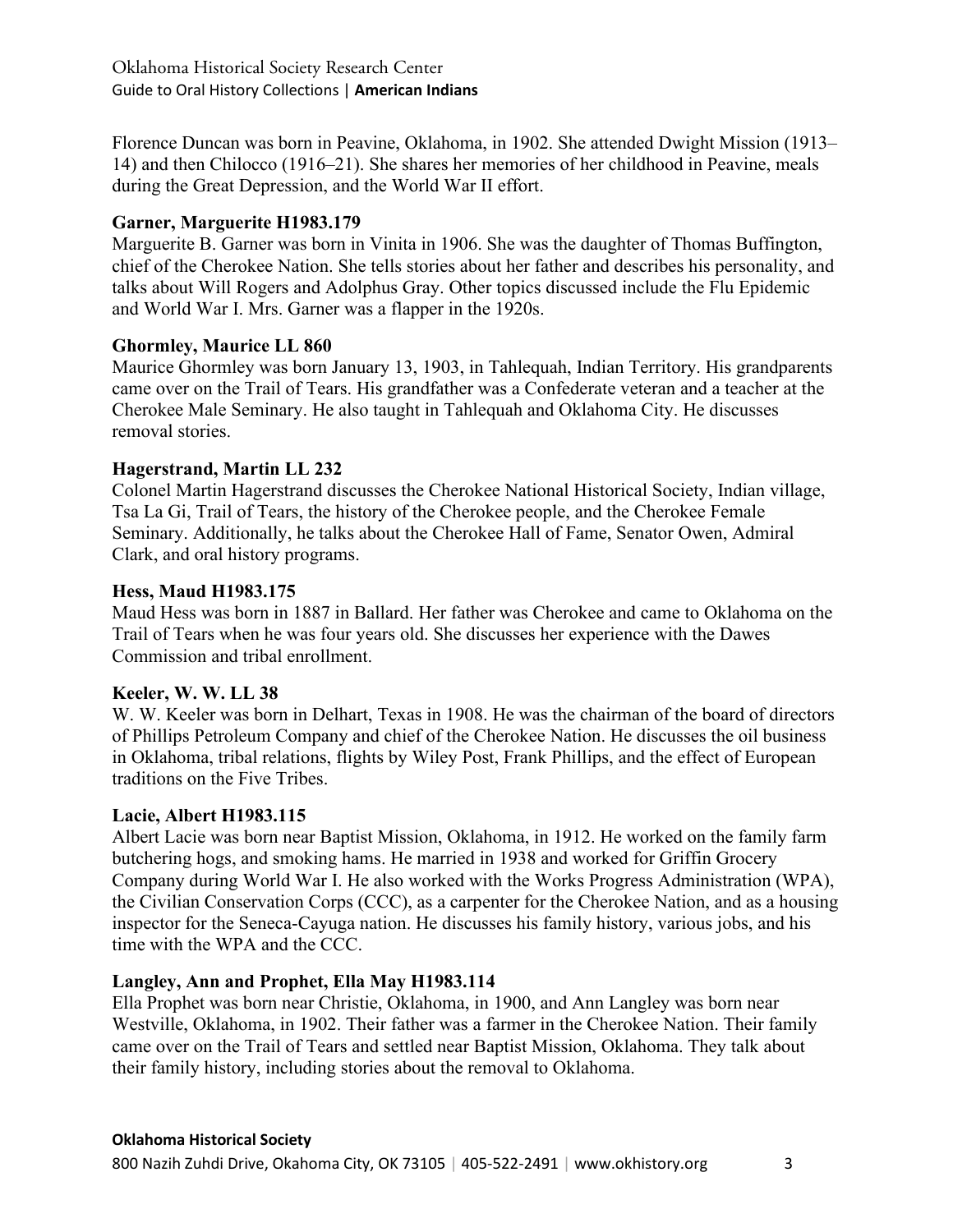Florence Duncan was born in Peavine, Oklahoma, in 1902. She attended Dwight Mission (1913– 14) and then Chilocco (1916–21). She shares her memories of her childhood in Peavine, meals during the Great Depression, and the World War II effort.

# **Garner, Marguerite H1983.179**

Marguerite B. Garner was born in Vinita in 1906. She was the daughter of Thomas Buffington, chief of the Cherokee Nation. She tells stories about her father and describes his personality, and talks about Will Rogers and Adolphus Gray. Other topics discussed include the Flu Epidemic and World War I. Mrs. Garner was a flapper in the 1920s.

# **Ghormley, Maurice LL 860**

Maurice Ghormley was born January 13, 1903, in Tahlequah, Indian Territory. His grandparents came over on the Trail of Tears. His grandfather was a Confederate veteran and a teacher at the Cherokee Male Seminary. He also taught in Tahlequah and Oklahoma City. He discusses removal stories.

# **Hagerstrand, Martin LL 232**

Colonel Martin Hagerstrand discusses the Cherokee National Historical Society, Indian village, Tsa La Gi, Trail of Tears, the history of the Cherokee people, and the Cherokee Female Seminary. Additionally, he talks about the Cherokee Hall of Fame, Senator Owen, Admiral Clark, and oral history programs.

# **Hess, Maud H1983.175**

Maud Hess was born in 1887 in Ballard. Her father was Cherokee and came to Oklahoma on the Trail of Tears when he was four years old. She discusses her experience with the Dawes Commission and tribal enrollment.

# **Keeler, W. W. LL 38**

W. W. Keeler was born in Delhart, Texas in 1908. He was the chairman of the board of directors of Phillips Petroleum Company and chief of the Cherokee Nation. He discusses the oil business in Oklahoma, tribal relations, flights by Wiley Post, Frank Phillips, and the effect of European traditions on the Five Tribes.

# **Lacie, Albert H1983.115**

Albert Lacie was born near Baptist Mission, Oklahoma, in 1912. He worked on the family farm butchering hogs, and smoking hams. He married in 1938 and worked for Griffin Grocery Company during World War I. He also worked with the Works Progress Administration (WPA), the Civilian Conservation Corps (CCC), as a carpenter for the Cherokee Nation, and as a housing inspector for the Seneca-Cayuga nation. He discusses his family history, various jobs, and his time with the WPA and the CCC.

# **Langley, Ann and Prophet, Ella May H1983.114**

Ella Prophet was born near Christie, Oklahoma, in 1900, and Ann Langley was born near Westville, Oklahoma, in 1902. Their father was a farmer in the Cherokee Nation. Their family came over on the Trail of Tears and settled near Baptist Mission, Oklahoma. They talk about their family history, including stories about the removal to Oklahoma.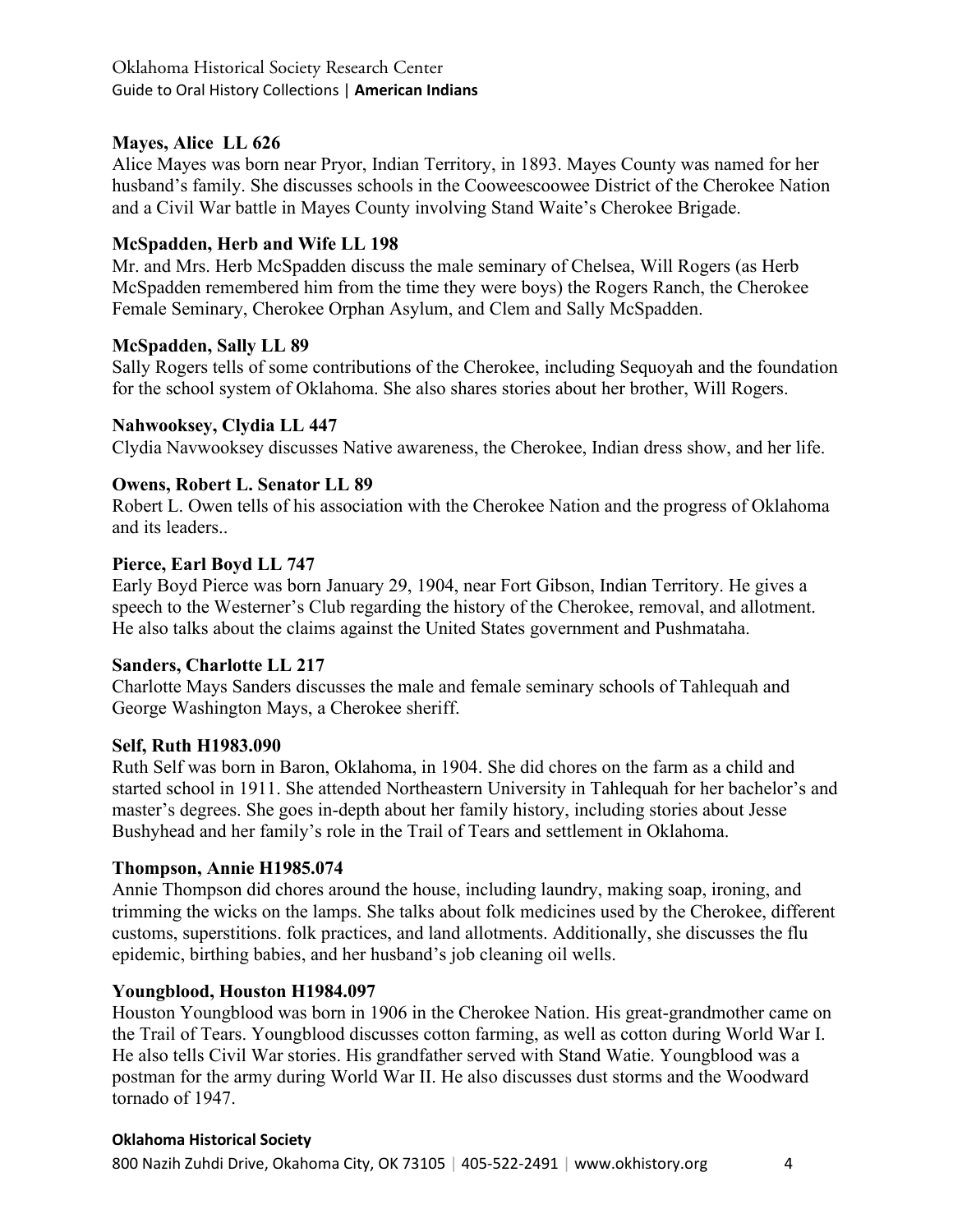# **Mayes, Alice LL 626**

Alice Mayes was born near Pryor, Indian Territory, in 1893. Mayes County was named for her husband's family. She discusses schools in the Cooweescoowee District of the Cherokee Nation and a Civil War battle in Mayes County involving Stand Waite's Cherokee Brigade.

# **McSpadden, Herb and Wife LL 198**

Mr. and Mrs. Herb McSpadden discuss the male seminary of Chelsea, Will Rogers (as Herb McSpadden remembered him from the time they were boys) the Rogers Ranch, the Cherokee Female Seminary, Cherokee Orphan Asylum, and Clem and Sally McSpadden.

# **McSpadden, Sally LL 89**

Sally Rogers tells of some contributions of the Cherokee, including Sequoyah and the foundation for the school system of Oklahoma. She also shares stories about her brother, Will Rogers.

# **Nahwooksey, Clydia LL 447**

Clydia Navwooksey discusses Native awareness, the Cherokee, Indian dress show, and her life.

# **Owens, Robert L. Senator LL 89**

Robert L. Owen tells of his association with the Cherokee Nation and the progress of Oklahoma and its leaders..

# **Pierce, Earl Boyd LL 747**

Early Boyd Pierce was born January 29, 1904, near Fort Gibson, Indian Territory. He gives a speech to the Westerner's Club regarding the history of the Cherokee, removal, and allotment. He also talks about the claims against the United States government and Pushmataha.

# **Sanders, Charlotte LL 217**

Charlotte Mays Sanders discusses the male and female seminary schools of Tahlequah and George Washington Mays, a Cherokee sheriff.

# **Self, Ruth H1983.090**

Ruth Self was born in Baron, Oklahoma, in 1904. She did chores on the farm as a child and started school in 1911. She attended Northeastern University in Tahlequah for her bachelor's and master's degrees. She goes in-depth about her family history, including stories about Jesse Bushyhead and her family's role in the Trail of Tears and settlement in Oklahoma.

# **Thompson, Annie H1985.074**

Annie Thompson did chores around the house, including laundry, making soap, ironing, and trimming the wicks on the lamps. She talks about folk medicines used by the Cherokee, different customs, superstitions. folk practices, and land allotments. Additionally, she discusses the flu epidemic, birthing babies, and her husband's job cleaning oil wells.

# **Youngblood, Houston H1984.097**

Houston Youngblood was born in 1906 in the Cherokee Nation. His great-grandmother came on the Trail of Tears. Youngblood discusses cotton farming, as well as cotton during World War I. He also tells Civil War stories. His grandfather served with Stand Watie. Youngblood was a postman for the army during World War II. He also discusses dust storms and the Woodward tornado of 1947.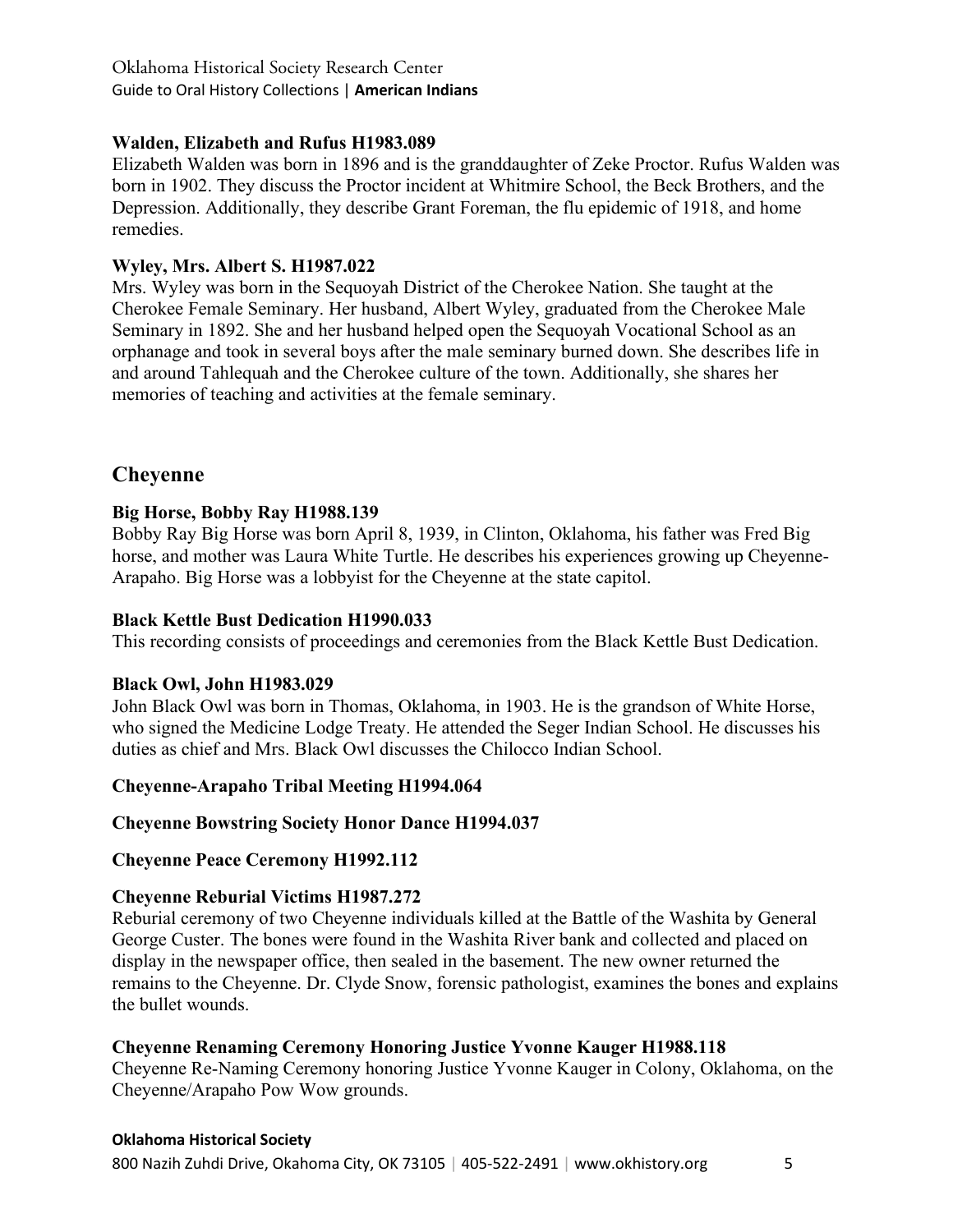# **Walden, Elizabeth and Rufus H1983.089**

Elizabeth Walden was born in 1896 and is the granddaughter of Zeke Proctor. Rufus Walden was born in 1902. They discuss the Proctor incident at Whitmire School, the Beck Brothers, and the Depression. Additionally, they describe Grant Foreman, the flu epidemic of 1918, and home remedies.

# **Wyley, Mrs. Albert S. H1987.022**

Mrs. Wyley was born in the Sequoyah District of the Cherokee Nation. She taught at the Cherokee Female Seminary. Her husband, Albert Wyley, graduated from the Cherokee Male Seminary in 1892. She and her husband helped open the Sequoyah Vocational School as an orphanage and took in several boys after the male seminary burned down. She describes life in and around Tahlequah and the Cherokee culture of the town. Additionally, she shares her memories of teaching and activities at the female seminary.

# **Cheyenne**

# **Big Horse, Bobby Ray H1988.139**

Bobby Ray Big Horse was born April 8, 1939, in Clinton, Oklahoma, his father was Fred Big horse, and mother was Laura White Turtle. He describes his experiences growing up Cheyenne-Arapaho. Big Horse was a lobbyist for the Cheyenne at the state capitol.

# **Black Kettle Bust Dedication H1990.033**

This recording consists of proceedings and ceremonies from the Black Kettle Bust Dedication.

# **Black Owl, John H1983.029**

John Black Owl was born in Thomas, Oklahoma, in 1903. He is the grandson of White Horse, who signed the Medicine Lodge Treaty. He attended the Seger Indian School. He discusses his duties as chief and Mrs. Black Owl discusses the Chilocco Indian School.

# **Cheyenne-Arapaho Tribal Meeting H1994.064**

# **Cheyenne Bowstring Society Honor Dance H1994.037**

# **Cheyenne Peace Ceremony H1992.112**

# **Cheyenne Reburial Victims H1987.272**

Reburial ceremony of two Cheyenne individuals killed at the Battle of the Washita by General George Custer. The bones were found in the Washita River bank and collected and placed on display in the newspaper office, then sealed in the basement. The new owner returned the remains to the Cheyenne. Dr. Clyde Snow, forensic pathologist, examines the bones and explains the bullet wounds.

# **Cheyenne Renaming Ceremony Honoring Justice Yvonne Kauger H1988.118**

Cheyenne Re-Naming Ceremony honoring Justice Yvonne Kauger in Colony, Oklahoma, on the Cheyenne/Arapaho Pow Wow grounds.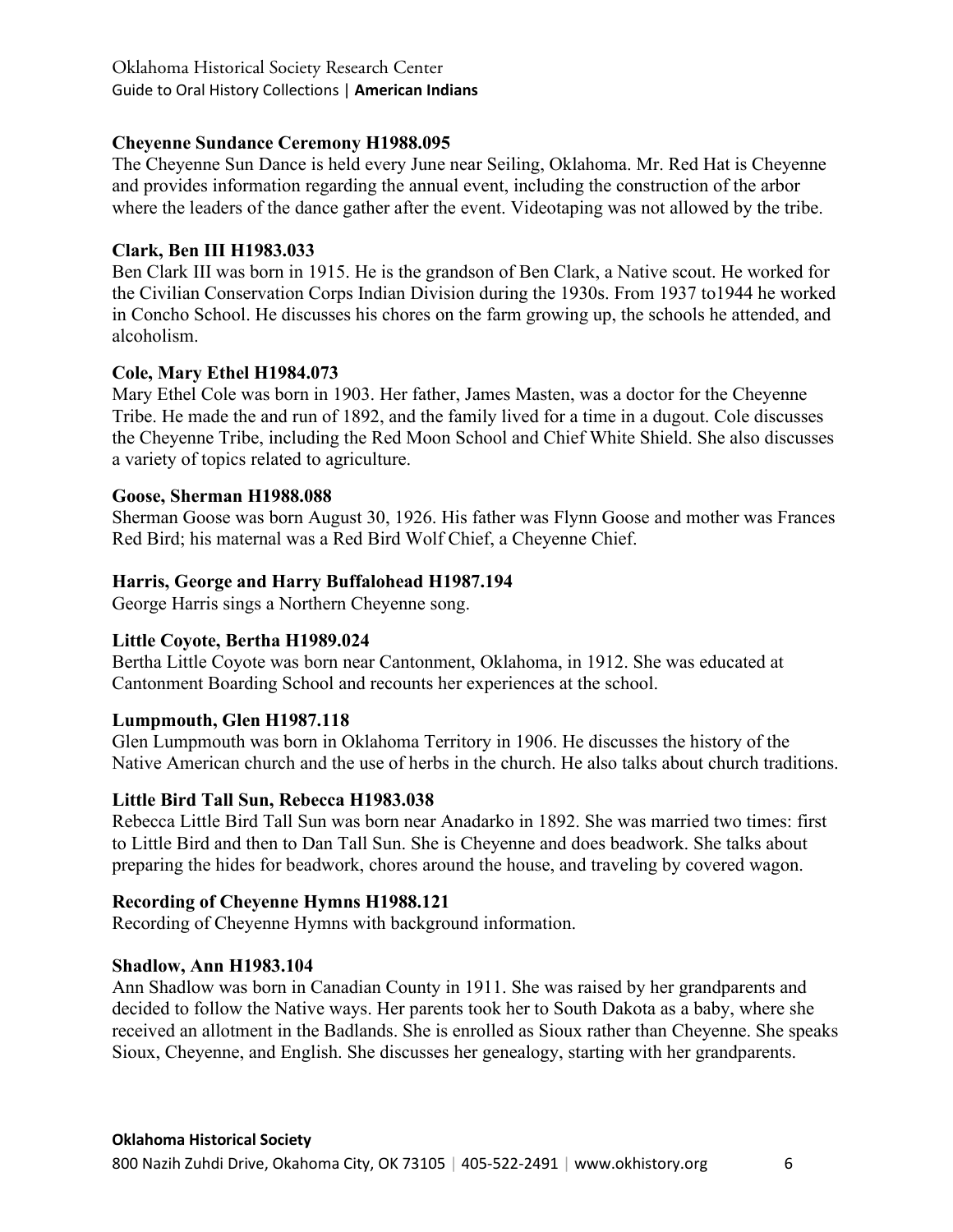# **Cheyenne Sundance Ceremony H1988.095**

The Cheyenne Sun Dance is held every June near Seiling, Oklahoma. Mr. Red Hat is Cheyenne and provides information regarding the annual event, including the construction of the arbor where the leaders of the dance gather after the event. Videotaping was not allowed by the tribe.

# **Clark, Ben III H1983.033**

Ben Clark III was born in 1915. He is the grandson of Ben Clark, a Native scout. He worked for the Civilian Conservation Corps Indian Division during the 1930s. From 1937 to1944 he worked in Concho School. He discusses his chores on the farm growing up, the schools he attended, and alcoholism.

# **Cole, Mary Ethel H1984.073**

Mary Ethel Cole was born in 1903. Her father, James Masten, was a doctor for the Cheyenne Tribe. He made the and run of 1892, and the family lived for a time in a dugout. Cole discusses the Cheyenne Tribe, including the Red Moon School and Chief White Shield. She also discusses a variety of topics related to agriculture.

# **Goose, Sherman H1988.088**

Sherman Goose was born August 30, 1926. His father was Flynn Goose and mother was Frances Red Bird; his maternal was a Red Bird Wolf Chief, a Cheyenne Chief.

# **Harris, George and Harry Buffalohead H1987.194**

George Harris sings a Northern Cheyenne song.

# **Little Coyote, Bertha H1989.024**

Bertha Little Coyote was born near Cantonment, Oklahoma, in 1912. She was educated at Cantonment Boarding School and recounts her experiences at the school.

# **Lumpmouth, Glen H1987.118**

Glen Lumpmouth was born in Oklahoma Territory in 1906. He discusses the history of the Native American church and the use of herbs in the church. He also talks about church traditions.

# **Little Bird Tall Sun, Rebecca H1983.038**

Rebecca Little Bird Tall Sun was born near Anadarko in 1892. She was married two times: first to Little Bird and then to Dan Tall Sun. She is Cheyenne and does beadwork. She talks about preparing the hides for beadwork, chores around the house, and traveling by covered wagon.

# **Recording of Cheyenne Hymns H1988.121**

Recording of Cheyenne Hymns with background information.

# **Shadlow, Ann H1983.104**

Ann Shadlow was born in Canadian County in 1911. She was raised by her grandparents and decided to follow the Native ways. Her parents took her to South Dakota as a baby, where she received an allotment in the Badlands. She is enrolled as Sioux rather than Cheyenne. She speaks Sioux, Cheyenne, and English. She discusses her genealogy, starting with her grandparents.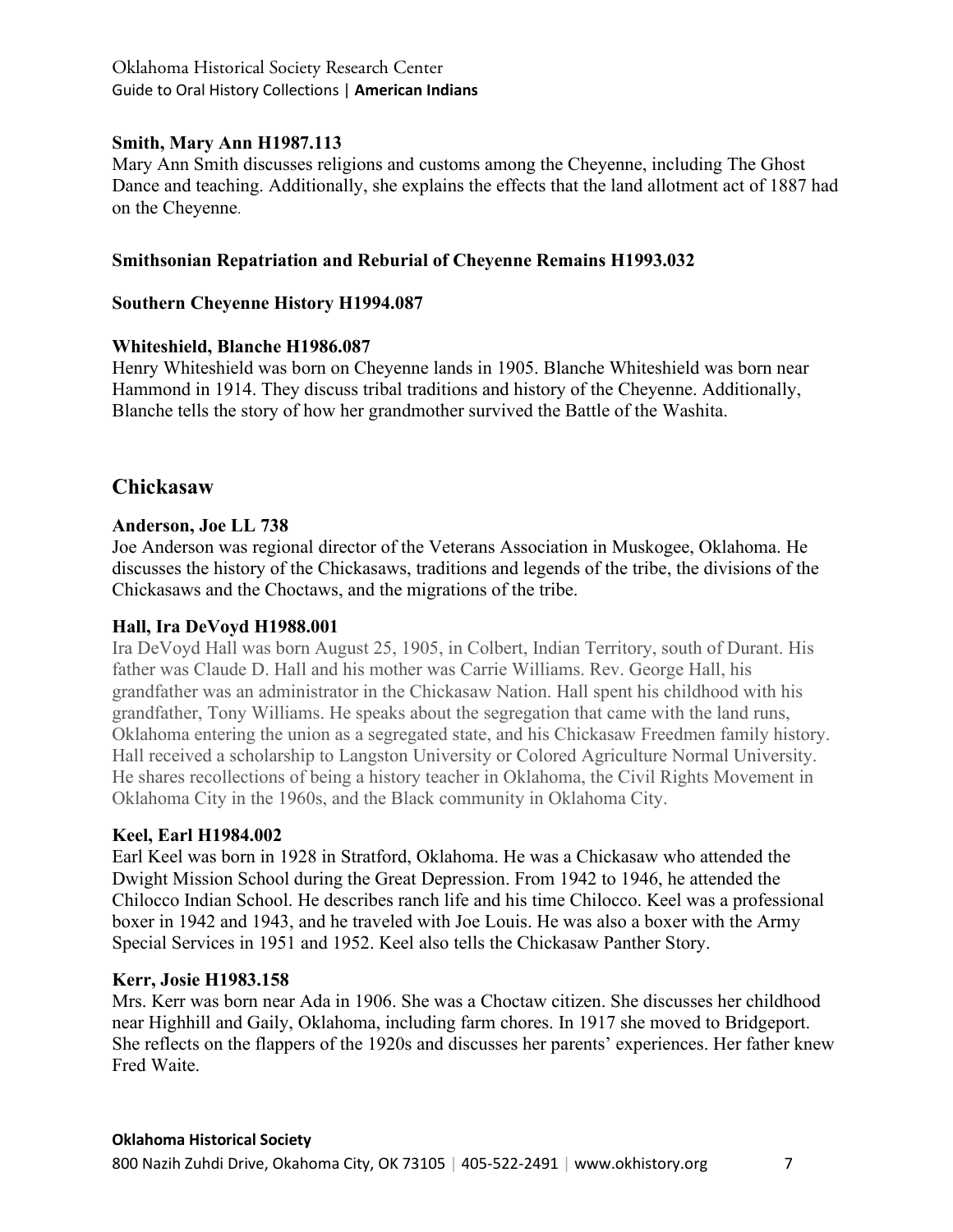# **Smith, Mary Ann H1987.113**

Mary Ann Smith discusses religions and customs among the Cheyenne, including The Ghost Dance and teaching. Additionally, she explains the effects that the land allotment act of 1887 had on the Cheyenne.

# **Smithsonian Repatriation and Reburial of Cheyenne Remains H1993.032**

# **Southern Cheyenne History H1994.087**

# **Whiteshield, Blanche H1986.087**

Henry Whiteshield was born on Cheyenne lands in 1905. Blanche Whiteshield was born near Hammond in 1914. They discuss tribal traditions and history of the Cheyenne. Additionally, Blanche tells the story of how her grandmother survived the Battle of the Washita.

# **Chickasaw**

# **Anderson, Joe LL 738**

Joe Anderson was regional director of the Veterans Association in Muskogee, Oklahoma. He discusses the history of the Chickasaws, traditions and legends of the tribe, the divisions of the Chickasaws and the Choctaws, and the migrations of the tribe.

# **Hall, Ira DeVoyd H1988.001**

Ira DeVoyd Hall was born August 25, 1905, in Colbert, Indian Territory, south of Durant. His father was Claude D. Hall and his mother was Carrie Williams. Rev. George Hall, his grandfather was an administrator in the Chickasaw Nation. Hall spent his childhood with his grandfather, Tony Williams. He speaks about the segregation that came with the land runs, Oklahoma entering the union as a segregated state, and his Chickasaw Freedmen family history. Hall received a scholarship to Langston University or Colored Agriculture Normal University. He shares recollections of being a history teacher in Oklahoma, the Civil Rights Movement in Oklahoma City in the 1960s, and the Black community in Oklahoma City.

# **Keel, Earl H1984.002**

Earl Keel was born in 1928 in Stratford, Oklahoma. He was a Chickasaw who attended the Dwight Mission School during the Great Depression. From 1942 to 1946, he attended the Chilocco Indian School. He describes ranch life and his time Chilocco. Keel was a professional boxer in 1942 and 1943, and he traveled with Joe Louis. He was also a boxer with the Army Special Services in 1951 and 1952. Keel also tells the Chickasaw Panther Story.

#### **Kerr, Josie H1983.158**

Mrs. Kerr was born near Ada in 1906. She was a Choctaw citizen. She discusses her childhood near Highhill and Gaily, Oklahoma, including farm chores. In 1917 she moved to Bridgeport. She reflects on the flappers of the 1920s and discusses her parents' experiences. Her father knew Fred Waite.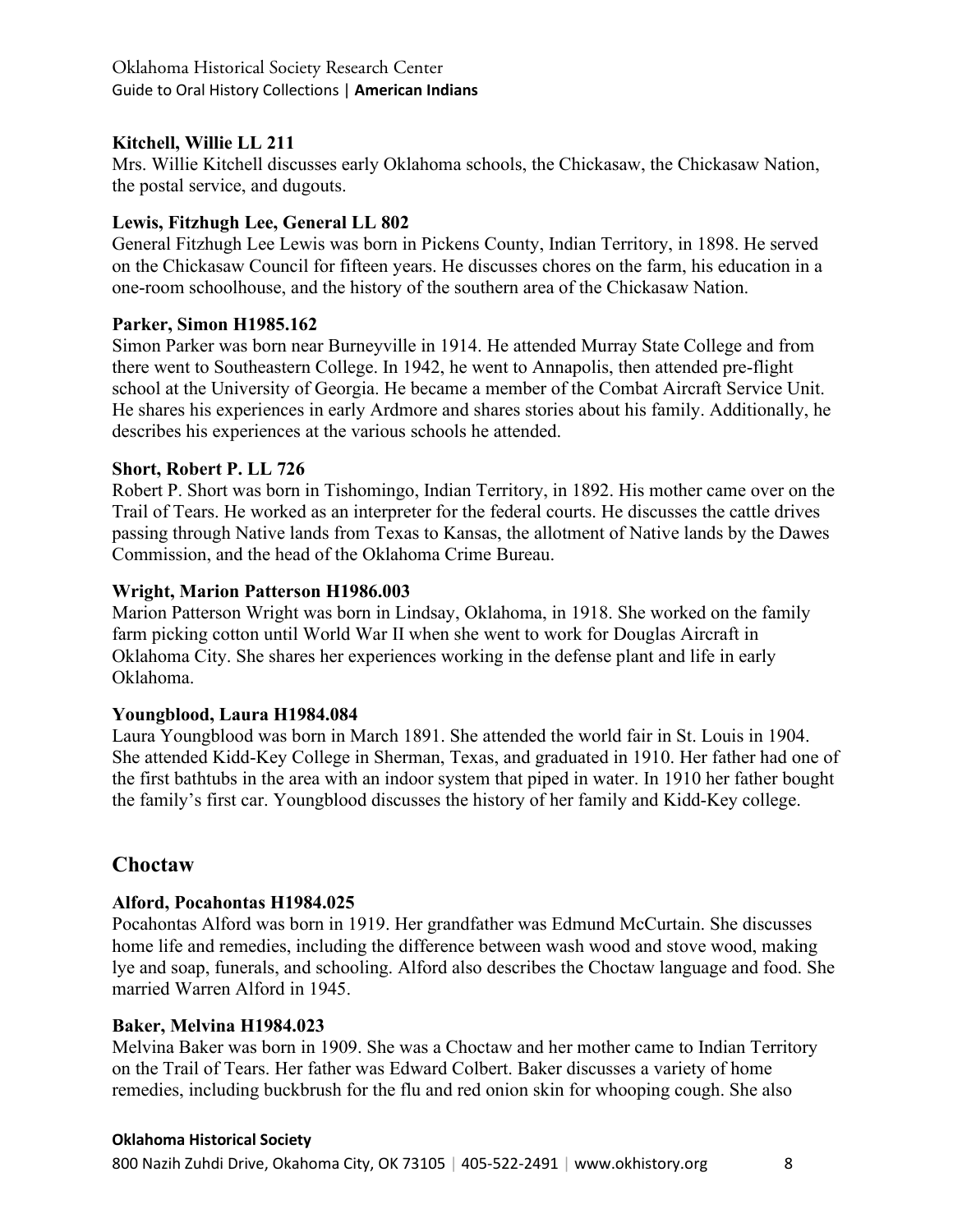# **Kitchell, Willie LL 211**

Mrs. Willie Kitchell discusses early Oklahoma schools, the Chickasaw, the Chickasaw Nation, the postal service, and dugouts.

# **Lewis, Fitzhugh Lee, General LL 802**

General Fitzhugh Lee Lewis was born in Pickens County, Indian Territory, in 1898. He served on the Chickasaw Council for fifteen years. He discusses chores on the farm, his education in a one-room schoolhouse, and the history of the southern area of the Chickasaw Nation.

# **Parker, Simon H1985.162**

Simon Parker was born near Burneyville in 1914. He attended Murray State College and from there went to Southeastern College. In 1942, he went to Annapolis, then attended pre-flight school at the University of Georgia. He became a member of the Combat Aircraft Service Unit. He shares his experiences in early Ardmore and shares stories about his family. Additionally, he describes his experiences at the various schools he attended.

# **Short, Robert P. LL 726**

Robert P. Short was born in Tishomingo, Indian Territory, in 1892. His mother came over on the Trail of Tears. He worked as an interpreter for the federal courts. He discusses the cattle drives passing through Native lands from Texas to Kansas, the allotment of Native lands by the Dawes Commission, and the head of the Oklahoma Crime Bureau.

# **Wright, Marion Patterson H1986.003**

Marion Patterson Wright was born in Lindsay, Oklahoma, in 1918. She worked on the family farm picking cotton until World War II when she went to work for Douglas Aircraft in Oklahoma City. She shares her experiences working in the defense plant and life in early Oklahoma.

# **Youngblood, Laura H1984.084**

Laura Youngblood was born in March 1891. She attended the world fair in St. Louis in 1904. She attended Kidd-Key College in Sherman, Texas, and graduated in 1910. Her father had one of the first bathtubs in the area with an indoor system that piped in water. In 1910 her father bought the family's first car. Youngblood discusses the history of her family and Kidd-Key college.

# **Choctaw**

# **Alford, Pocahontas H1984.025**

Pocahontas Alford was born in 1919. Her grandfather was Edmund McCurtain. She discusses home life and remedies, including the difference between wash wood and stove wood, making lye and soap, funerals, and schooling. Alford also describes the Choctaw language and food. She married Warren Alford in 1945.

# **Baker, Melvina H1984.023**

Melvina Baker was born in 1909. She was a Choctaw and her mother came to Indian Territory on the Trail of Tears. Her father was Edward Colbert. Baker discusses a variety of home remedies, including buckbrush for the flu and red onion skin for whooping cough. She also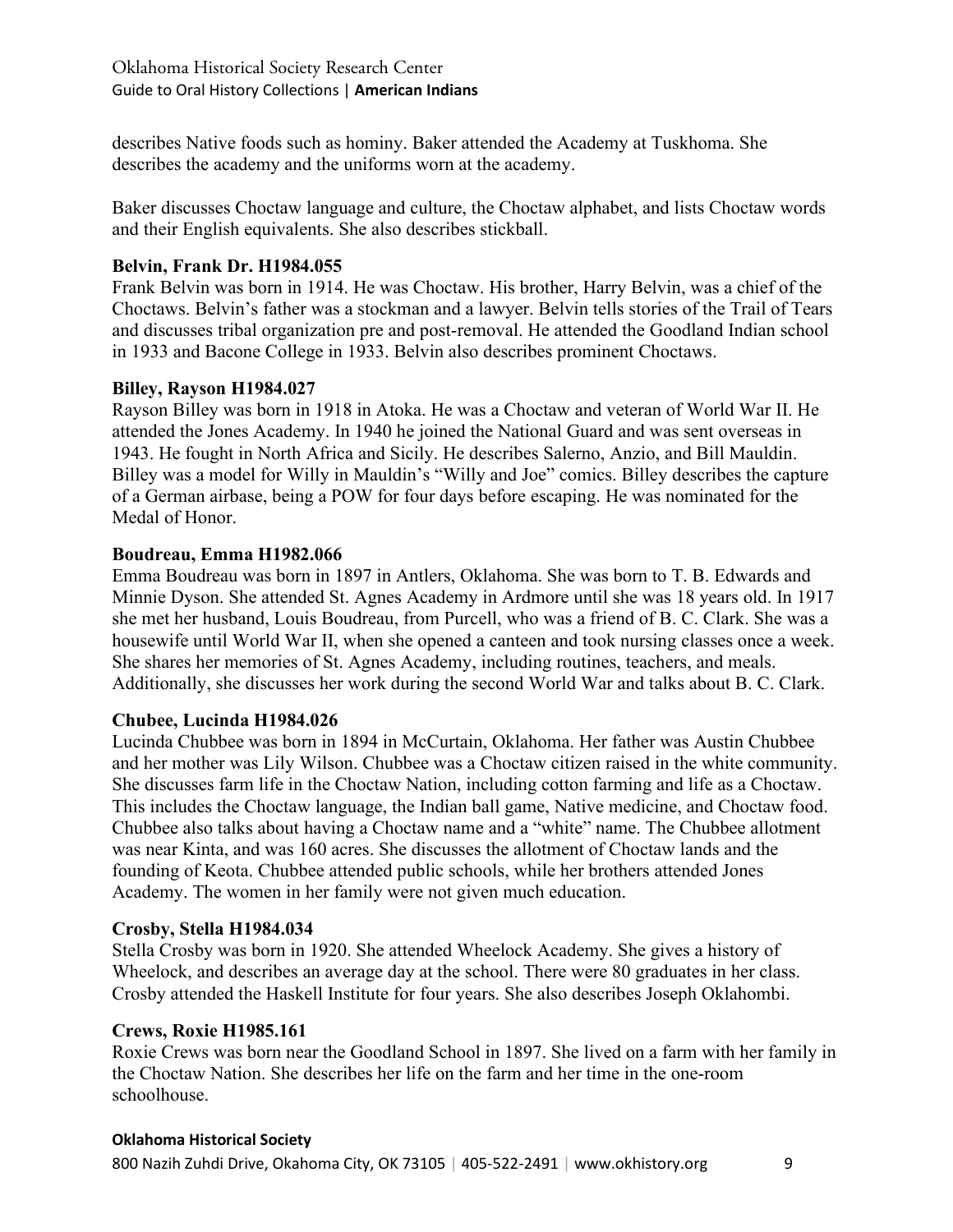describes Native foods such as hominy. Baker attended the Academy at Tuskhoma. She describes the academy and the uniforms worn at the academy.

Baker discusses Choctaw language and culture, the Choctaw alphabet, and lists Choctaw words and their English equivalents. She also describes stickball.

# **Belvin, Frank Dr. H1984.055**

Frank Belvin was born in 1914. He was Choctaw. His brother, Harry Belvin, was a chief of the Choctaws. Belvin's father was a stockman and a lawyer. Belvin tells stories of the Trail of Tears and discusses tribal organization pre and post-removal. He attended the Goodland Indian school in 1933 and Bacone College in 1933. Belvin also describes prominent Choctaws.

# **Billey, Rayson H1984.027**

Rayson Billey was born in 1918 in Atoka. He was a Choctaw and veteran of World War II. He attended the Jones Academy. In 1940 he joined the National Guard and was sent overseas in 1943. He fought in North Africa and Sicily. He describes Salerno, Anzio, and Bill Mauldin. Billey was a model for Willy in Mauldin's "Willy and Joe" comics. Billey describes the capture of a German airbase, being a POW for four days before escaping. He was nominated for the Medal of Honor.

# **Boudreau, Emma H1982.066**

Emma Boudreau was born in 1897 in Antlers, Oklahoma. She was born to T. B. Edwards and Minnie Dyson. She attended St. Agnes Academy in Ardmore until she was 18 years old. In 1917 she met her husband, Louis Boudreau, from Purcell, who was a friend of B. C. Clark. She was a housewife until World War II, when she opened a canteen and took nursing classes once a week. She shares her memories of St. Agnes Academy, including routines, teachers, and meals. Additionally, she discusses her work during the second World War and talks about B. C. Clark.

# **Chubee, Lucinda H1984.026**

Lucinda Chubbee was born in 1894 in McCurtain, Oklahoma. Her father was Austin Chubbee and her mother was Lily Wilson. Chubbee was a Choctaw citizen raised in the white community. She discusses farm life in the Choctaw Nation, including cotton farming and life as a Choctaw. This includes the Choctaw language, the Indian ball game, Native medicine, and Choctaw food. Chubbee also talks about having a Choctaw name and a "white" name. The Chubbee allotment was near Kinta, and was 160 acres. She discusses the allotment of Choctaw lands and the founding of Keota. Chubbee attended public schools, while her brothers attended Jones Academy. The women in her family were not given much education.

# **Crosby, Stella H1984.034**

Stella Crosby was born in 1920. She attended Wheelock Academy. She gives a history of Wheelock, and describes an average day at the school. There were 80 graduates in her class. Crosby attended the Haskell Institute for four years. She also describes Joseph Oklahombi.

# **Crews, Roxie H1985.161**

Roxie Crews was born near the Goodland School in 1897. She lived on a farm with her family in the Choctaw Nation. She describes her life on the farm and her time in the one-room schoolhouse.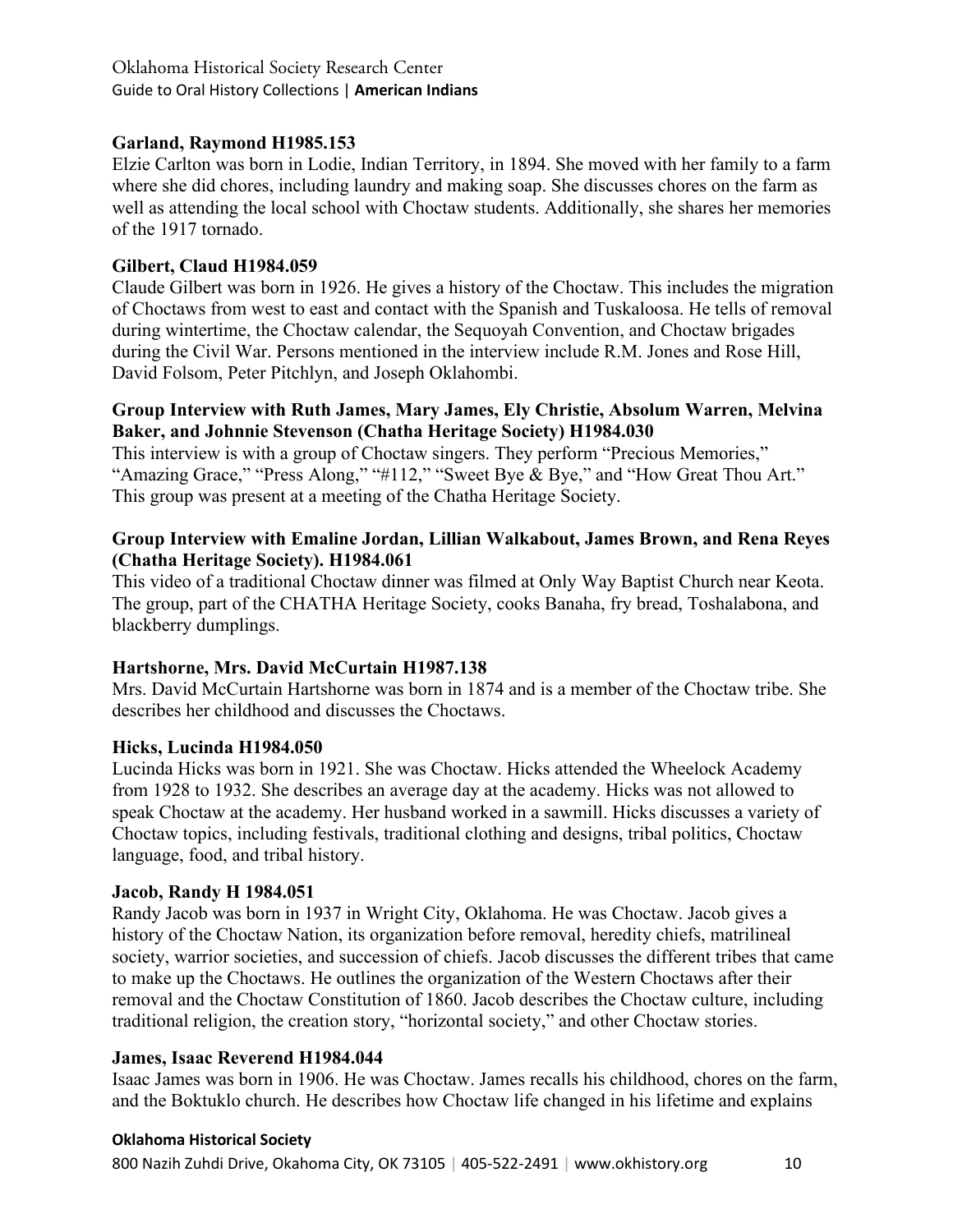# **Garland, Raymond H1985.153**

Elzie Carlton was born in Lodie, Indian Territory, in 1894. She moved with her family to a farm where she did chores, including laundry and making soap. She discusses chores on the farm as well as attending the local school with Choctaw students. Additionally, she shares her memories of the 1917 tornado.

# **Gilbert, Claud H1984.059**

Claude Gilbert was born in 1926. He gives a history of the Choctaw. This includes the migration of Choctaws from west to east and contact with the Spanish and Tuskaloosa. He tells of removal during wintertime, the Choctaw calendar, the Sequoyah Convention, and Choctaw brigades during the Civil War. Persons mentioned in the interview include R.M. Jones and Rose Hill, David Folsom, Peter Pitchlyn, and Joseph Oklahombi.

# **Group Interview with Ruth James, Mary James, Ely Christie, Absolum Warren, Melvina Baker, and Johnnie Stevenson (Chatha Heritage Society) H1984.030**

This interview is with a group of Choctaw singers. They perform "Precious Memories," "Amazing Grace," "Press Along," "#112," "Sweet Bye & Bye," and "How Great Thou Art." This group was present at a meeting of the Chatha Heritage Society.

# **Group Interview with Emaline Jordan, Lillian Walkabout, James Brown, and Rena Reyes (Chatha Heritage Society). H1984.061**

This video of a traditional Choctaw dinner was filmed at Only Way Baptist Church near Keota. The group, part of the CHATHA Heritage Society, cooks Banaha, fry bread, Toshalabona, and blackberry dumplings.

# **Hartshorne, Mrs. David McCurtain H1987.138**

Mrs. David McCurtain Hartshorne was born in 1874 and is a member of the Choctaw tribe. She describes her childhood and discusses the Choctaws.

# **Hicks, Lucinda H1984.050**

Lucinda Hicks was born in 1921. She was Choctaw. Hicks attended the Wheelock Academy from 1928 to 1932. She describes an average day at the academy. Hicks was not allowed to speak Choctaw at the academy. Her husband worked in a sawmill. Hicks discusses a variety of Choctaw topics, including festivals, traditional clothing and designs, tribal politics, Choctaw language, food, and tribal history.

# **Jacob, Randy H 1984.051**

Randy Jacob was born in 1937 in Wright City, Oklahoma. He was Choctaw. Jacob gives a history of the Choctaw Nation, its organization before removal, heredity chiefs, matrilineal society, warrior societies, and succession of chiefs. Jacob discusses the different tribes that came to make up the Choctaws. He outlines the organization of the Western Choctaws after their removal and the Choctaw Constitution of 1860. Jacob describes the Choctaw culture, including traditional religion, the creation story, "horizontal society," and other Choctaw stories.

# **James, Isaac Reverend H1984.044**

Isaac James was born in 1906. He was Choctaw. James recalls his childhood, chores on the farm, and the Boktuklo church. He describes how Choctaw life changed in his lifetime and explains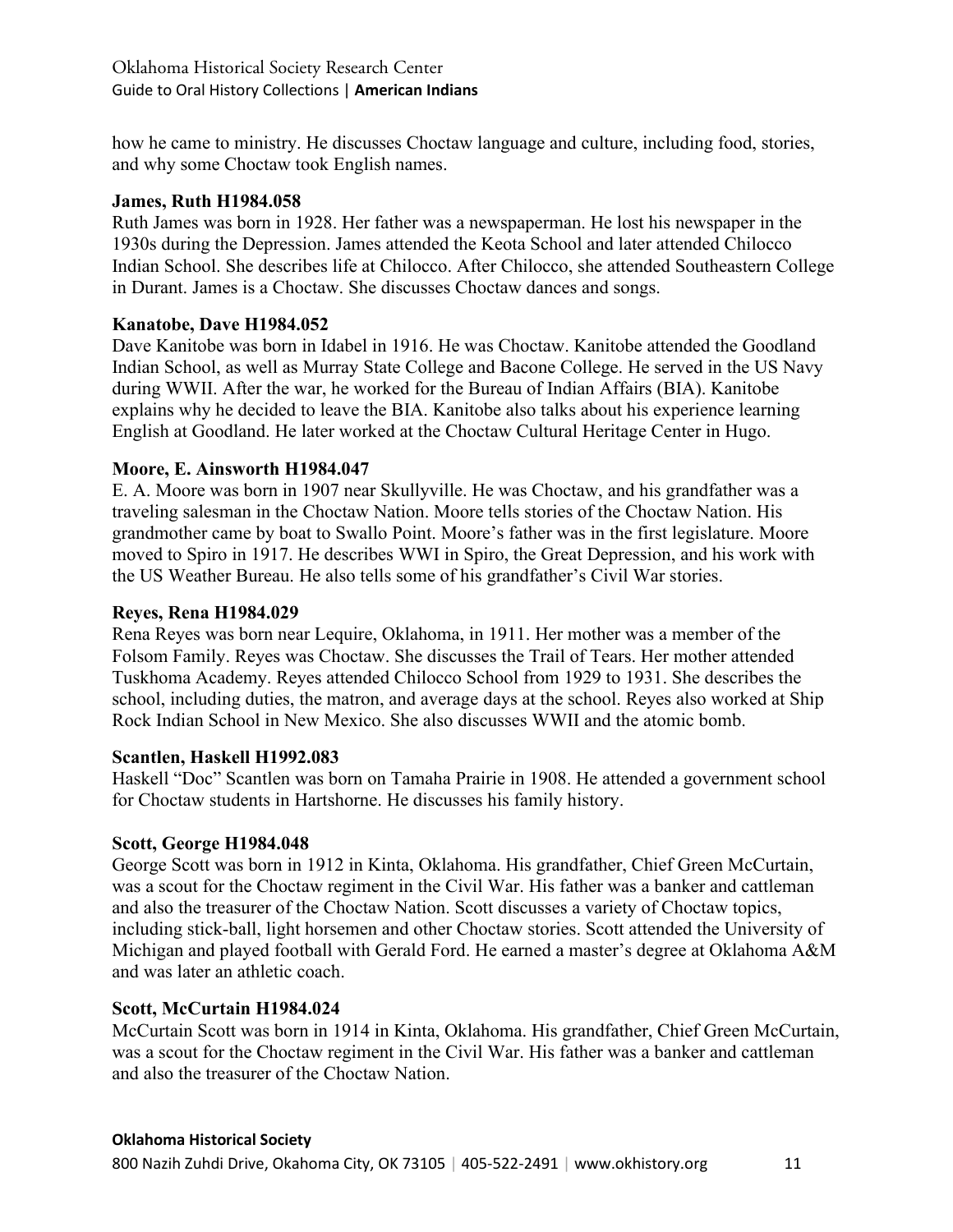how he came to ministry. He discusses Choctaw language and culture, including food, stories, and why some Choctaw took English names.

# **James, Ruth H1984.058**

Ruth James was born in 1928. Her father was a newspaperman. He lost his newspaper in the 1930s during the Depression. James attended the Keota School and later attended Chilocco Indian School. She describes life at Chilocco. After Chilocco, she attended Southeastern College in Durant. James is a Choctaw. She discusses Choctaw dances and songs.

# **Kanatobe, Dave H1984.052**

Dave Kanitobe was born in Idabel in 1916. He was Choctaw. Kanitobe attended the Goodland Indian School, as well as Murray State College and Bacone College. He served in the US Navy during WWII. After the war, he worked for the Bureau of Indian Affairs (BIA). Kanitobe explains why he decided to leave the BIA. Kanitobe also talks about his experience learning English at Goodland. He later worked at the Choctaw Cultural Heritage Center in Hugo.

# **Moore, E. Ainsworth H1984.047**

E. A. Moore was born in 1907 near Skullyville. He was Choctaw, and his grandfather was a traveling salesman in the Choctaw Nation. Moore tells stories of the Choctaw Nation. His grandmother came by boat to Swallo Point. Moore's father was in the first legislature. Moore moved to Spiro in 1917. He describes WWI in Spiro, the Great Depression, and his work with the US Weather Bureau. He also tells some of his grandfather's Civil War stories.

### **Reyes, Rena H1984.029**

Rena Reyes was born near Lequire, Oklahoma, in 1911. Her mother was a member of the Folsom Family. Reyes was Choctaw. She discusses the Trail of Tears. Her mother attended Tuskhoma Academy. Reyes attended Chilocco School from 1929 to 1931. She describes the school, including duties, the matron, and average days at the school. Reyes also worked at Ship Rock Indian School in New Mexico. She also discusses WWII and the atomic bomb.

# **Scantlen, Haskell H1992.083**

Haskell "Doc" Scantlen was born on Tamaha Prairie in 1908. He attended a government school for Choctaw students in Hartshorne. He discusses his family history.

# **Scott, George H1984.048**

George Scott was born in 1912 in Kinta, Oklahoma. His grandfather, Chief Green McCurtain, was a scout for the Choctaw regiment in the Civil War. His father was a banker and cattleman and also the treasurer of the Choctaw Nation. Scott discusses a variety of Choctaw topics, including stick-ball, light horsemen and other Choctaw stories. Scott attended the University of Michigan and played football with Gerald Ford. He earned a master's degree at Oklahoma A&M and was later an athletic coach.

# **Scott, McCurtain H1984.024**

McCurtain Scott was born in 1914 in Kinta, Oklahoma. His grandfather, Chief Green McCurtain, was a scout for the Choctaw regiment in the Civil War. His father was a banker and cattleman and also the treasurer of the Choctaw Nation.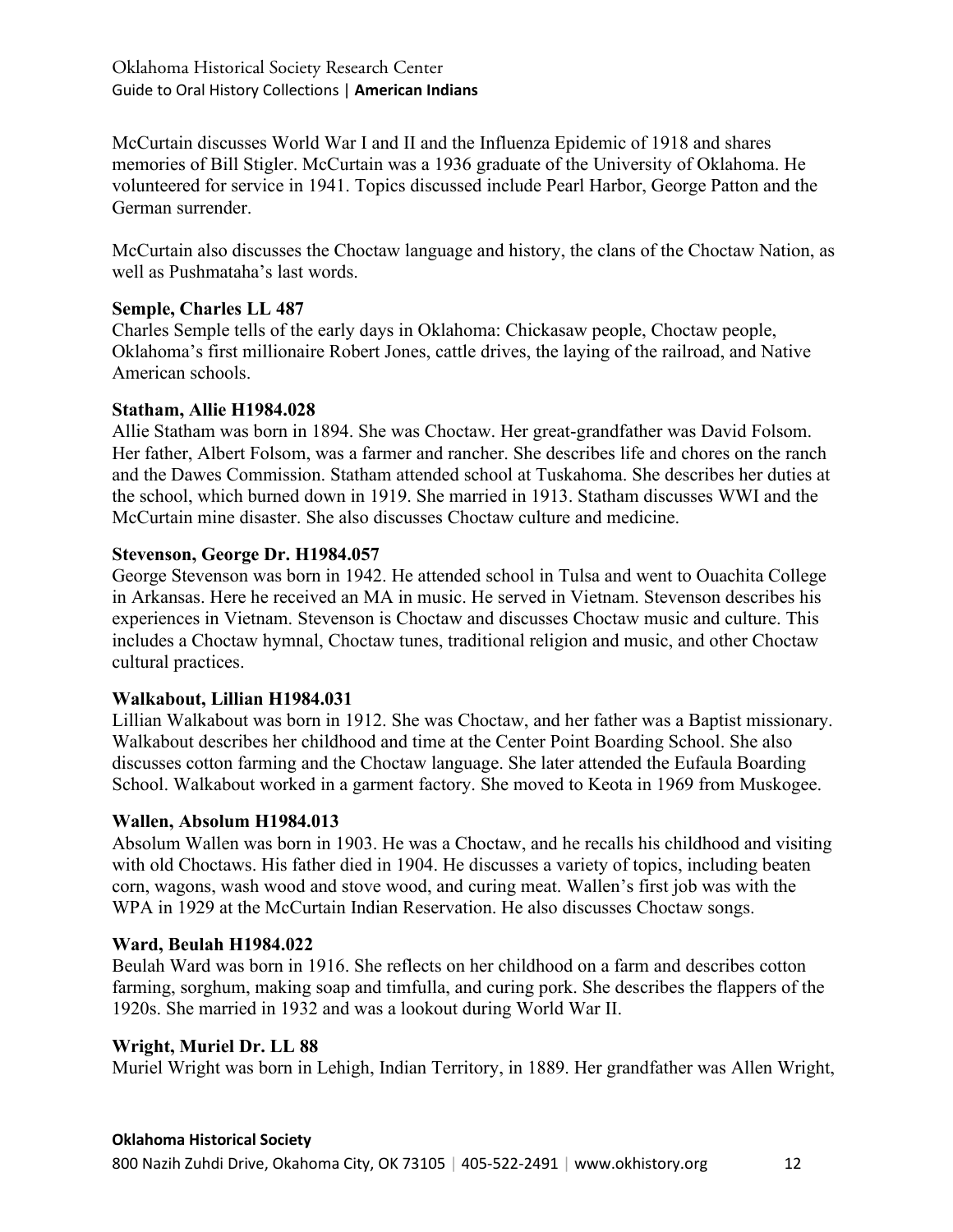McCurtain discusses World War I and II and the Influenza Epidemic of 1918 and shares memories of Bill Stigler. McCurtain was a 1936 graduate of the University of Oklahoma. He volunteered for service in 1941. Topics discussed include Pearl Harbor, George Patton and the German surrender.

McCurtain also discusses the Choctaw language and history, the clans of the Choctaw Nation, as well as Pushmataha's last words.

# **Semple, Charles LL 487**

Charles Semple tells of the early days in Oklahoma: Chickasaw people, Choctaw people, Oklahoma's first millionaire Robert Jones, cattle drives, the laying of the railroad, and Native American schools.

#### **Statham, Allie H1984.028**

Allie Statham was born in 1894. She was Choctaw. Her great-grandfather was David Folsom. Her father, Albert Folsom, was a farmer and rancher. She describes life and chores on the ranch and the Dawes Commission. Statham attended school at Tuskahoma. She describes her duties at the school, which burned down in 1919. She married in 1913. Statham discusses WWI and the McCurtain mine disaster. She also discusses Choctaw culture and medicine.

#### **Stevenson, George Dr. H1984.057**

George Stevenson was born in 1942. He attended school in Tulsa and went to Ouachita College in Arkansas. Here he received an MA in music. He served in Vietnam. Stevenson describes his experiences in Vietnam. Stevenson is Choctaw and discusses Choctaw music and culture. This includes a Choctaw hymnal, Choctaw tunes, traditional religion and music, and other Choctaw cultural practices.

# **Walkabout, Lillian H1984.031**

Lillian Walkabout was born in 1912. She was Choctaw, and her father was a Baptist missionary. Walkabout describes her childhood and time at the Center Point Boarding School. She also discusses cotton farming and the Choctaw language. She later attended the Eufaula Boarding School. Walkabout worked in a garment factory. She moved to Keota in 1969 from Muskogee.

#### **Wallen, Absolum H1984.013**

Absolum Wallen was born in 1903. He was a Choctaw, and he recalls his childhood and visiting with old Choctaws. His father died in 1904. He discusses a variety of topics, including beaten corn, wagons, wash wood and stove wood, and curing meat. Wallen's first job was with the WPA in 1929 at the McCurtain Indian Reservation. He also discusses Choctaw songs.

#### **Ward, Beulah H1984.022**

Beulah Ward was born in 1916. She reflects on her childhood on a farm and describes cotton farming, sorghum, making soap and timfulla, and curing pork. She describes the flappers of the 1920s. She married in 1932 and was a lookout during World War II.

# **Wright, Muriel Dr. LL 88**

Muriel Wright was born in Lehigh, Indian Territory, in 1889. Her grandfather was Allen Wright,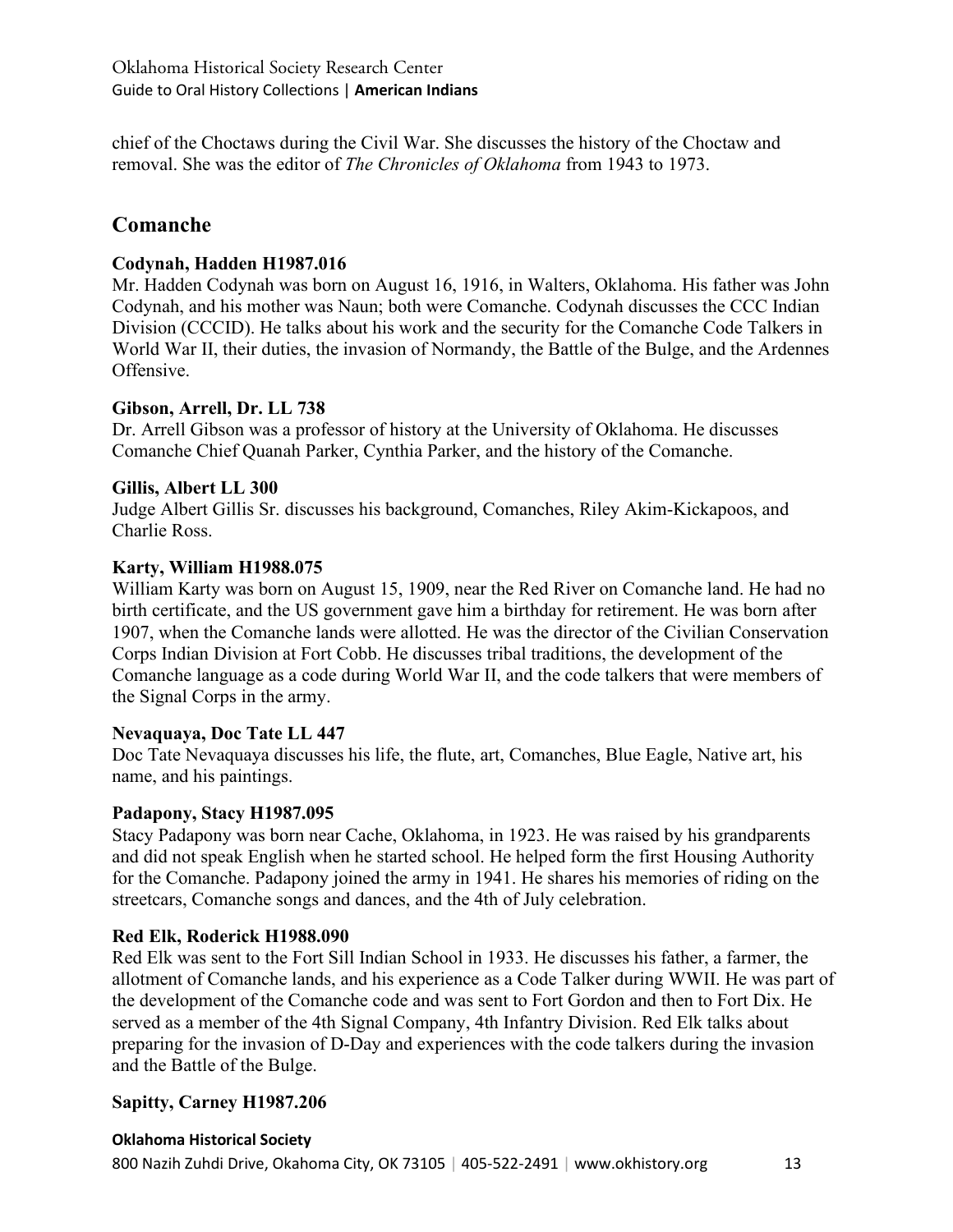chief of the Choctaws during the Civil War. She discusses the history of the Choctaw and removal. She was the editor of *The Chronicles of Oklahoma* from 1943 to 1973.

# **Comanche**

# **Codynah, Hadden H1987.016**

Mr. Hadden Codynah was born on August 16, 1916, in Walters, Oklahoma. His father was John Codynah, and his mother was Naun; both were Comanche. Codynah discusses the CCC Indian Division (CCCID). He talks about his work and the security for the Comanche Code Talkers in World War II, their duties, the invasion of Normandy, the Battle of the Bulge, and the Ardennes Offensive.

# **Gibson, Arrell, Dr. LL 738**

Dr. Arrell Gibson was a professor of history at the University of Oklahoma. He discusses Comanche Chief Quanah Parker, Cynthia Parker, and the history of the Comanche.

# **Gillis, Albert LL 300**

Judge Albert Gillis Sr. discusses his background, Comanches, Riley Akim-Kickapoos, and Charlie Ross.

# **Karty, William H1988.075**

William Karty was born on August 15, 1909, near the Red River on Comanche land. He had no birth certificate, and the US government gave him a birthday for retirement. He was born after 1907, when the Comanche lands were allotted. He was the director of the Civilian Conservation Corps Indian Division at Fort Cobb. He discusses tribal traditions, the development of the Comanche language as a code during World War II, and the code talkers that were members of the Signal Corps in the army.

# **Nevaquaya, Doc Tate LL 447**

Doc Tate Nevaquaya discusses his life, the flute, art, Comanches, Blue Eagle, Native art, his name, and his paintings.

# **Padapony, Stacy H1987.095**

Stacy Padapony was born near Cache, Oklahoma, in 1923. He was raised by his grandparents and did not speak English when he started school. He helped form the first Housing Authority for the Comanche. Padapony joined the army in 1941. He shares his memories of riding on the streetcars, Comanche songs and dances, and the 4th of July celebration.

# **Red Elk, Roderick H1988.090**

Red Elk was sent to the Fort Sill Indian School in 1933. He discusses his father, a farmer, the allotment of Comanche lands, and his experience as a Code Talker during WWII. He was part of the development of the Comanche code and was sent to Fort Gordon and then to Fort Dix. He served as a member of the 4th Signal Company, 4th Infantry Division. Red Elk talks about preparing for the invasion of D-Day and experiences with the code talkers during the invasion and the Battle of the Bulge.

# **Sapitty, Carney H1987.206**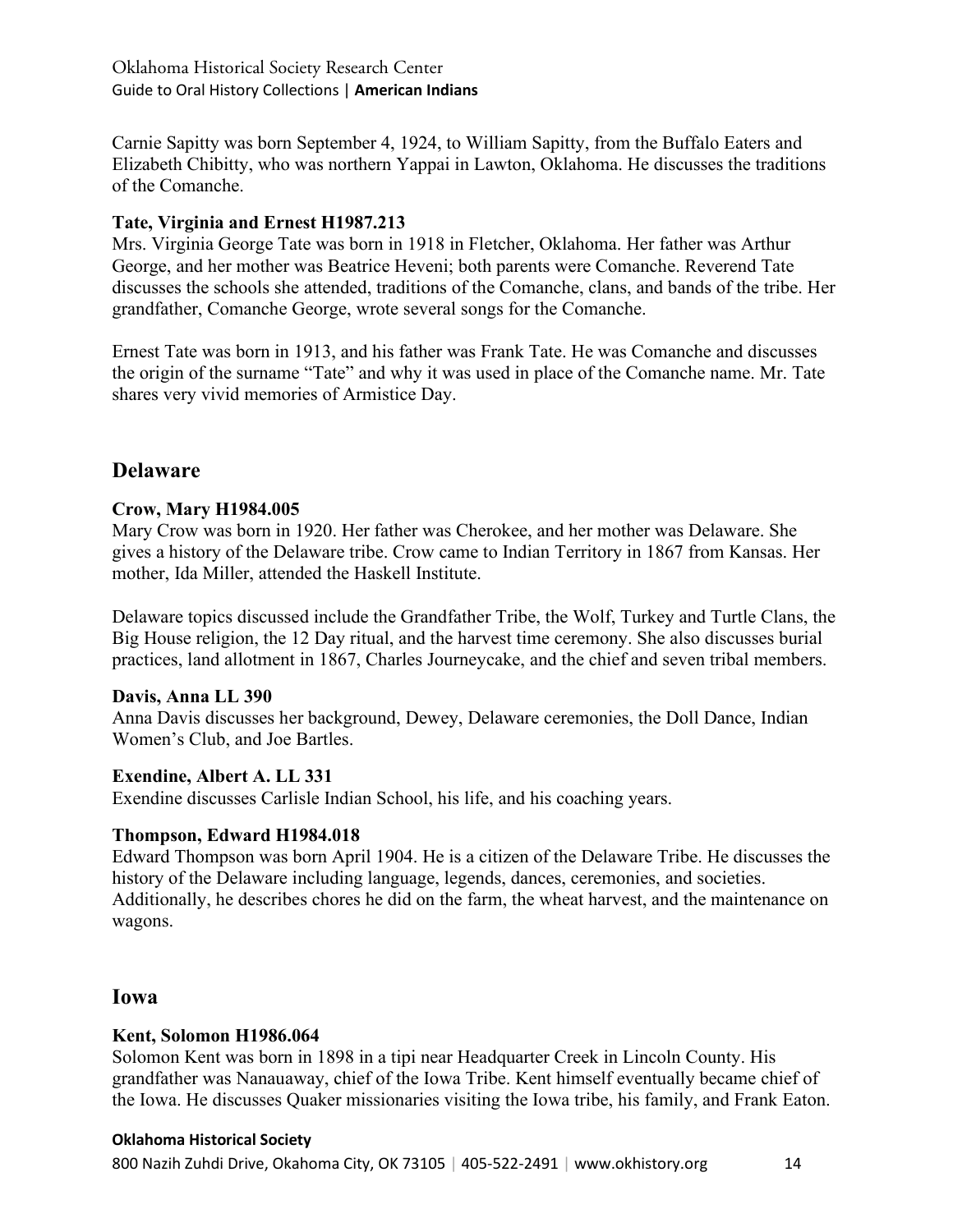Carnie Sapitty was born September 4, 1924, to William Sapitty, from the Buffalo Eaters and Elizabeth Chibitty, who was northern Yappai in Lawton, Oklahoma. He discusses the traditions of the Comanche.

# **Tate, Virginia and Ernest H1987.213**

Mrs. Virginia George Tate was born in 1918 in Fletcher, Oklahoma. Her father was Arthur George, and her mother was Beatrice Heveni; both parents were Comanche. Reverend Tate discusses the schools she attended, traditions of the Comanche, clans, and bands of the tribe. Her grandfather, Comanche George, wrote several songs for the Comanche.

Ernest Tate was born in 1913, and his father was Frank Tate. He was Comanche and discusses the origin of the surname "Tate" and why it was used in place of the Comanche name. Mr. Tate shares very vivid memories of Armistice Day.

# **Delaware**

# **Crow, Mary H1984.005**

Mary Crow was born in 1920. Her father was Cherokee, and her mother was Delaware. She gives a history of the Delaware tribe. Crow came to Indian Territory in 1867 from Kansas. Her mother, Ida Miller, attended the Haskell Institute.

Delaware topics discussed include the Grandfather Tribe, the Wolf, Turkey and Turtle Clans, the Big House religion, the 12 Day ritual, and the harvest time ceremony. She also discusses burial practices, land allotment in 1867, Charles Journeycake, and the chief and seven tribal members.

#### **Davis, Anna LL 390**

Anna Davis discusses her background, Dewey, Delaware ceremonies, the Doll Dance, Indian Women's Club, and Joe Bartles.

#### **Exendine, Albert A. LL 331**

Exendine discusses Carlisle Indian School, his life, and his coaching years.

# **Thompson, Edward H1984.018**

Edward Thompson was born April 1904. He is a citizen of the Delaware Tribe. He discusses the history of the Delaware including language, legends, dances, ceremonies, and societies. Additionally, he describes chores he did on the farm, the wheat harvest, and the maintenance on wagons.

# **Iowa**

#### **Kent, Solomon H1986.064**

Solomon Kent was born in 1898 in a tipi near Headquarter Creek in Lincoln County. His grandfather was Nanauaway, chief of the Iowa Tribe. Kent himself eventually became chief of the Iowa. He discusses Quaker missionaries visiting the Iowa tribe, his family, and Frank Eaton.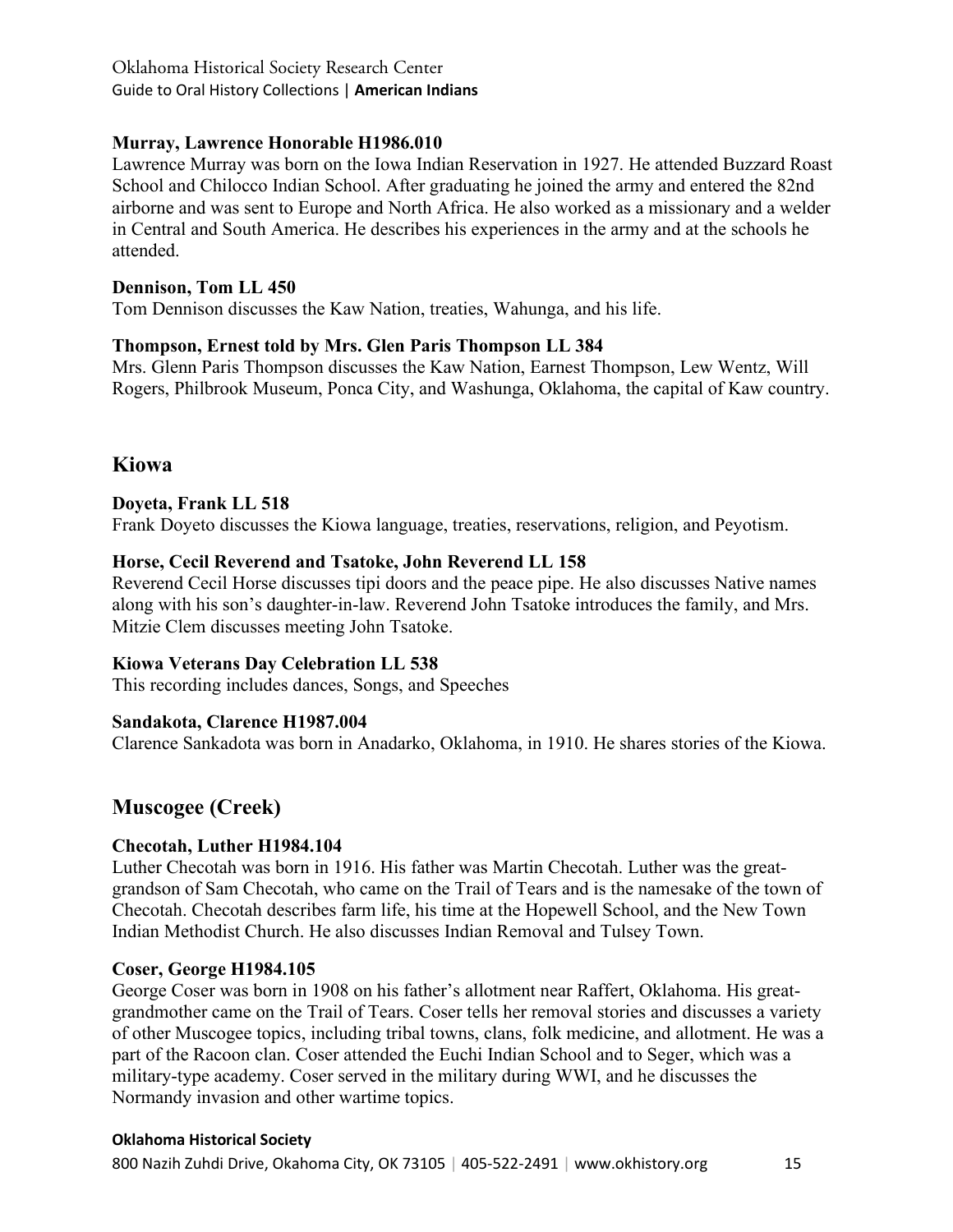# **Murray, Lawrence Honorable H1986.010**

Lawrence Murray was born on the Iowa Indian Reservation in 1927. He attended Buzzard Roast School and Chilocco Indian School. After graduating he joined the army and entered the 82nd airborne and was sent to Europe and North Africa. He also worked as a missionary and a welder in Central and South America. He describes his experiences in the army and at the schools he attended.

# **Dennison, Tom LL 450**

Tom Dennison discusses the Kaw Nation, treaties, Wahunga, and his life.

# **Thompson, Ernest told by Mrs. Glen Paris Thompson LL 384**

Mrs. Glenn Paris Thompson discusses the Kaw Nation, Earnest Thompson, Lew Wentz, Will Rogers, Philbrook Museum, Ponca City, and Washunga, Oklahoma, the capital of Kaw country.

# **Kiowa**

#### **Doyeta, Frank LL 518**

Frank Doyeto discusses the Kiowa language, treaties, reservations, religion, and Peyotism.

#### **Horse, Cecil Reverend and Tsatoke, John Reverend LL 158**

Reverend Cecil Horse discusses tipi doors and the peace pipe. He also discusses Native names along with his son's daughter-in-law. Reverend John Tsatoke introduces the family, and Mrs. Mitzie Clem discusses meeting John Tsatoke.

# **Kiowa Veterans Day Celebration LL 538**

This recording includes dances, Songs, and Speeches

# **Sandakota, Clarence H1987.004**

Clarence Sankadota was born in Anadarko, Oklahoma, in 1910. He shares stories of the Kiowa.

# **Muscogee (Creek)**

# **Checotah, Luther H1984.104**

Luther Checotah was born in 1916. His father was Martin Checotah. Luther was the greatgrandson of Sam Checotah, who came on the Trail of Tears and is the namesake of the town of Checotah. Checotah describes farm life, his time at the Hopewell School, and the New Town Indian Methodist Church. He also discusses Indian Removal and Tulsey Town.

#### **Coser, George H1984.105**

George Coser was born in 1908 on his father's allotment near Raffert, Oklahoma. His greatgrandmother came on the Trail of Tears. Coser tells her removal stories and discusses a variety of other Muscogee topics, including tribal towns, clans, folk medicine, and allotment. He was a part of the Racoon clan. Coser attended the Euchi Indian School and to Seger, which was a military-type academy. Coser served in the military during WWI, and he discusses the Normandy invasion and other wartime topics.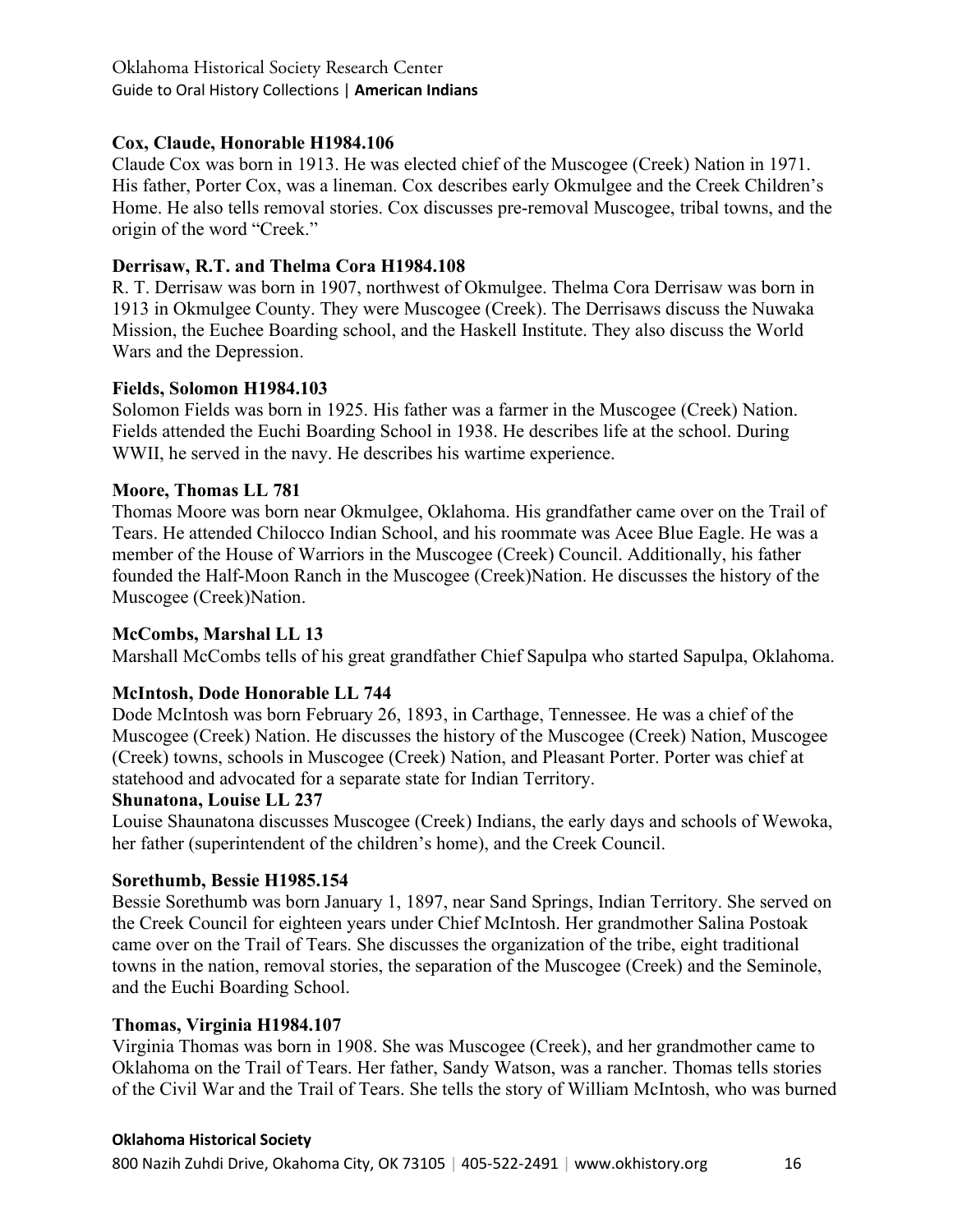# **Cox, Claude, Honorable H1984.106**

Claude Cox was born in 1913. He was elected chief of the Muscogee (Creek) Nation in 1971. His father, Porter Cox, was a lineman. Cox describes early Okmulgee and the Creek Children's Home. He also tells removal stories. Cox discusses pre-removal Muscogee, tribal towns, and the origin of the word "Creek."

# **Derrisaw, R.T. and Thelma Cora H1984.108**

R. T. Derrisaw was born in 1907, northwest of Okmulgee. Thelma Cora Derrisaw was born in 1913 in Okmulgee County. They were Muscogee (Creek). The Derrisaws discuss the Nuwaka Mission, the Euchee Boarding school, and the Haskell Institute. They also discuss the World Wars and the Depression.

# **Fields, Solomon H1984.103**

Solomon Fields was born in 1925. His father was a farmer in the Muscogee (Creek) Nation. Fields attended the Euchi Boarding School in 1938. He describes life at the school. During WWII, he served in the navy. He describes his wartime experience.

# **Moore, Thomas LL 781**

Thomas Moore was born near Okmulgee, Oklahoma. His grandfather came over on the Trail of Tears. He attended Chilocco Indian School, and his roommate was Acee Blue Eagle. He was a member of the House of Warriors in the Muscogee (Creek) Council. Additionally, his father founded the Half-Moon Ranch in the Muscogee (Creek)Nation. He discusses the history of the Muscogee (Creek)Nation.

# **McCombs, Marshal LL 13**

Marshall McCombs tells of his great grandfather Chief Sapulpa who started Sapulpa, Oklahoma.

# **McIntosh, Dode Honorable LL 744**

Dode McIntosh was born February 26, 1893, in Carthage, Tennessee. He was a chief of the Muscogee (Creek) Nation. He discusses the history of the Muscogee (Creek) Nation, Muscogee (Creek) towns, schools in Muscogee (Creek) Nation, and Pleasant Porter. Porter was chief at statehood and advocated for a separate state for Indian Territory.

# **Shunatona, Louise LL 237**

Louise Shaunatona discusses Muscogee (Creek) Indians, the early days and schools of Wewoka, her father (superintendent of the children's home), and the Creek Council.

# **Sorethumb, Bessie H1985.154**

Bessie Sorethumb was born January 1, 1897, near Sand Springs, Indian Territory. She served on the Creek Council for eighteen years under Chief McIntosh. Her grandmother Salina Postoak came over on the Trail of Tears. She discusses the organization of the tribe, eight traditional towns in the nation, removal stories, the separation of the Muscogee (Creek) and the Seminole, and the Euchi Boarding School.

# **Thomas, Virginia H1984.107**

Virginia Thomas was born in 1908. She was Muscogee (Creek), and her grandmother came to Oklahoma on the Trail of Tears. Her father, Sandy Watson, was a rancher. Thomas tells stories of the Civil War and the Trail of Tears. She tells the story of William McIntosh, who was burned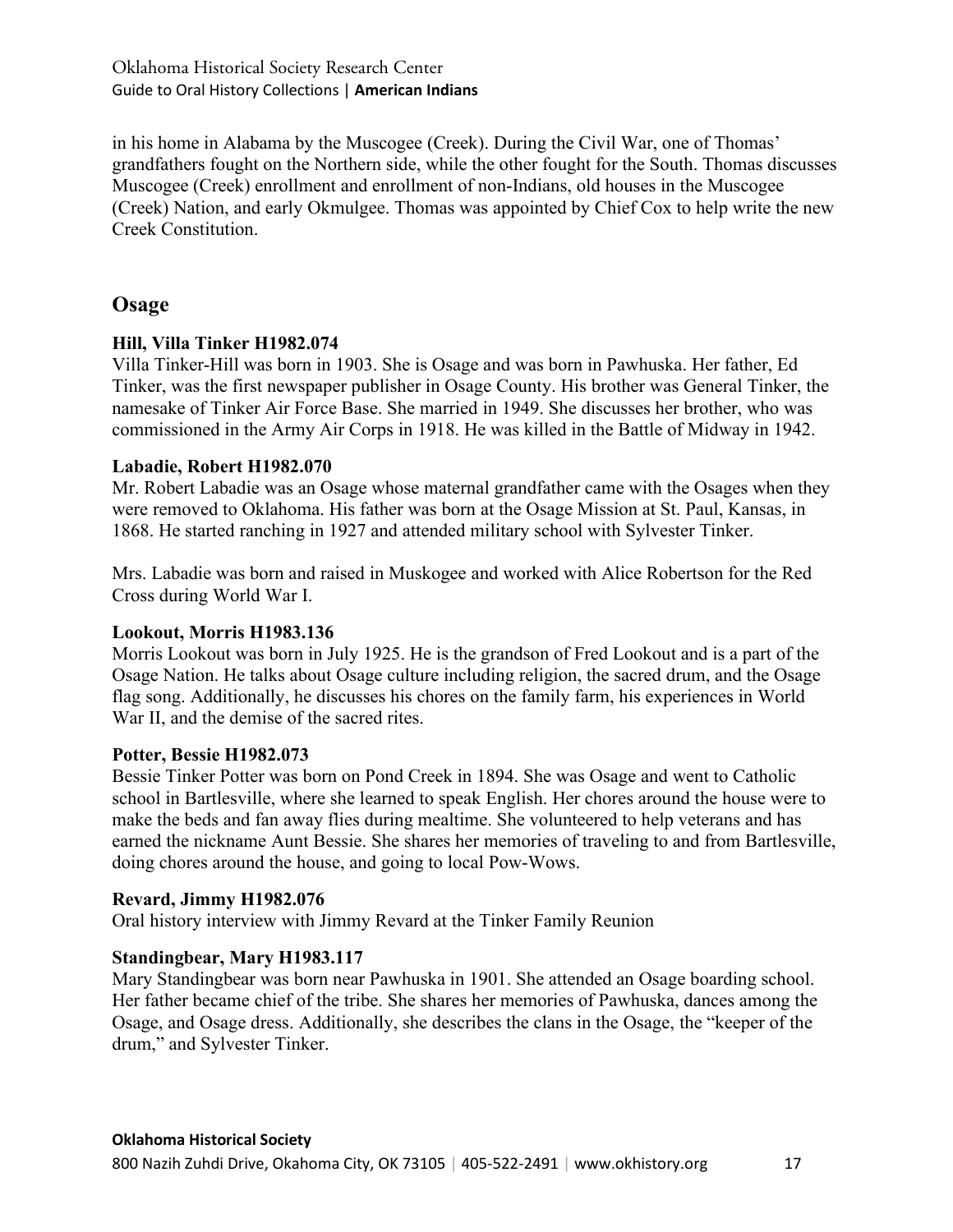in his home in Alabama by the Muscogee (Creek). During the Civil War, one of Thomas' grandfathers fought on the Northern side, while the other fought for the South. Thomas discusses Muscogee (Creek) enrollment and enrollment of non-Indians, old houses in the Muscogee (Creek) Nation, and early Okmulgee. Thomas was appointed by Chief Cox to help write the new Creek Constitution.

# **Osage**

# **Hill, Villa Tinker H1982.074**

Villa Tinker-Hill was born in 1903. She is Osage and was born in Pawhuska. Her father, Ed Tinker, was the first newspaper publisher in Osage County. His brother was General Tinker, the namesake of Tinker Air Force Base. She married in 1949. She discusses her brother, who was commissioned in the Army Air Corps in 1918. He was killed in the Battle of Midway in 1942.

# **Labadie, Robert H1982.070**

Mr. Robert Labadie was an Osage whose maternal grandfather came with the Osages when they were removed to Oklahoma. His father was born at the Osage Mission at St. Paul, Kansas, in 1868. He started ranching in 1927 and attended military school with Sylvester Tinker.

Mrs. Labadie was born and raised in Muskogee and worked with Alice Robertson for the Red Cross during World War I.

# **Lookout, Morris H1983.136**

Morris Lookout was born in July 1925. He is the grandson of Fred Lookout and is a part of the Osage Nation. He talks about Osage culture including religion, the sacred drum, and the Osage flag song. Additionally, he discusses his chores on the family farm, his experiences in World War II, and the demise of the sacred rites.

#### **Potter, Bessie H1982.073**

Bessie Tinker Potter was born on Pond Creek in 1894. She was Osage and went to Catholic school in Bartlesville, where she learned to speak English. Her chores around the house were to make the beds and fan away flies during mealtime. She volunteered to help veterans and has earned the nickname Aunt Bessie. She shares her memories of traveling to and from Bartlesville, doing chores around the house, and going to local Pow-Wows.

#### **Revard, Jimmy H1982.076**

Oral history interview with Jimmy Revard at the Tinker Family Reunion

# **Standingbear, Mary H1983.117**

Mary Standingbear was born near Pawhuska in 1901. She attended an Osage boarding school. Her father became chief of the tribe. She shares her memories of Pawhuska, dances among the Osage, and Osage dress. Additionally, she describes the clans in the Osage, the "keeper of the drum," and Sylvester Tinker.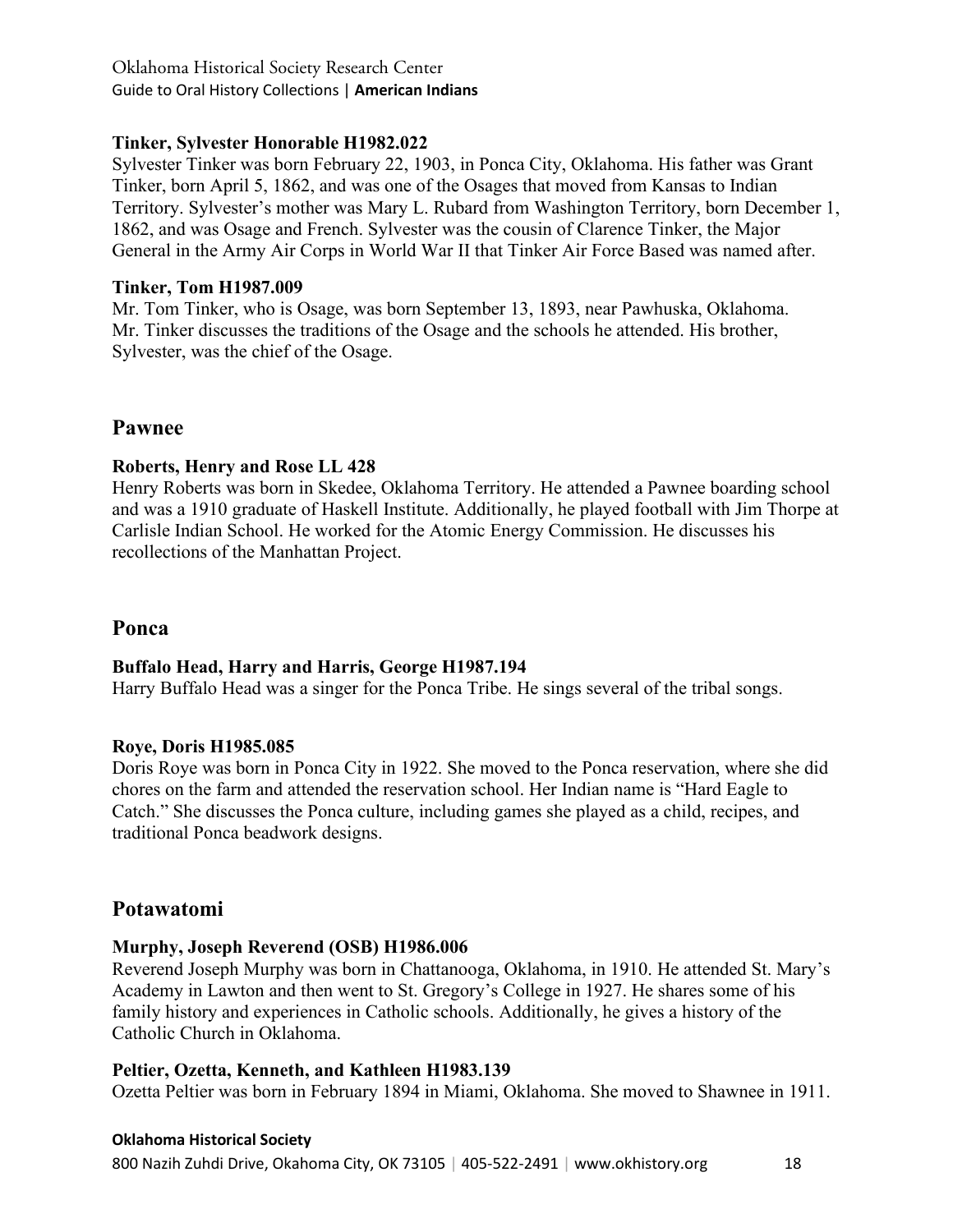# **Tinker, Sylvester Honorable H1982.022**

Sylvester Tinker was born February 22, 1903, in Ponca City, Oklahoma. His father was Grant Tinker, born April 5, 1862, and was one of the Osages that moved from Kansas to Indian Territory. Sylvester's mother was Mary L. Rubard from Washington Territory, born December 1, 1862, and was Osage and French. Sylvester was the cousin of Clarence Tinker, the Major General in the Army Air Corps in World War II that Tinker Air Force Based was named after.

# **Tinker, Tom H1987.009**

Mr. Tom Tinker, who is Osage, was born September 13, 1893, near Pawhuska, Oklahoma. Mr. Tinker discusses the traditions of the Osage and the schools he attended. His brother, Sylvester, was the chief of the Osage.

# **Pawnee**

# **Roberts, Henry and Rose LL 428**

Henry Roberts was born in Skedee, Oklahoma Territory. He attended a Pawnee boarding school and was a 1910 graduate of Haskell Institute. Additionally, he played football with Jim Thorpe at Carlisle Indian School. He worked for the Atomic Energy Commission. He discusses his recollections of the Manhattan Project.

# **Ponca**

# **Buffalo Head, Harry and Harris, George H1987.194**

Harry Buffalo Head was a singer for the Ponca Tribe. He sings several of the tribal songs.

# **Roye, Doris H1985.085**

Doris Roye was born in Ponca City in 1922. She moved to the Ponca reservation, where she did chores on the farm and attended the reservation school. Her Indian name is "Hard Eagle to Catch." She discusses the Ponca culture, including games she played as a child, recipes, and traditional Ponca beadwork designs.

# **Potawatomi**

# **Murphy, Joseph Reverend (OSB) H1986.006**

Reverend Joseph Murphy was born in Chattanooga, Oklahoma, in 1910. He attended St. Mary's Academy in Lawton and then went to St. Gregory's College in 1927. He shares some of his family history and experiences in Catholic schools. Additionally, he gives a history of the Catholic Church in Oklahoma.

# **Peltier, Ozetta, Kenneth, and Kathleen H1983.139**

Ozetta Peltier was born in February 1894 in Miami, Oklahoma. She moved to Shawnee in 1911.

# **Oklahoma Historical Society**

800 Nazih Zuhdi Drive, Okahoma City, OK 73105 | 405-522-2491 | www.okhistory.org 18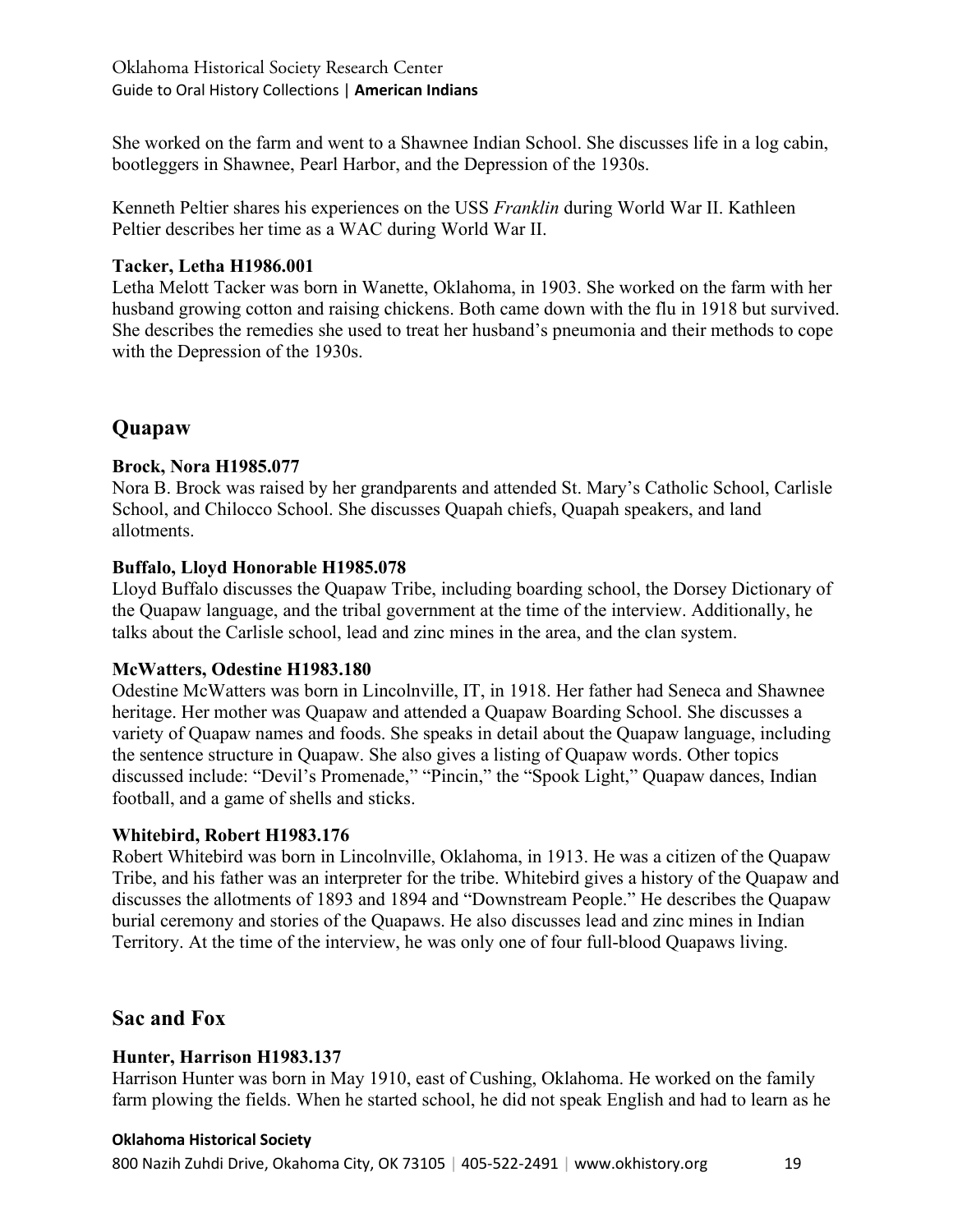She worked on the farm and went to a Shawnee Indian School. She discusses life in a log cabin, bootleggers in Shawnee, Pearl Harbor, and the Depression of the 1930s.

Kenneth Peltier shares his experiences on the USS *Franklin* during World War II. Kathleen Peltier describes her time as a WAC during World War II.

# **Tacker, Letha H1986.001**

Letha Melott Tacker was born in Wanette, Oklahoma, in 1903. She worked on the farm with her husband growing cotton and raising chickens. Both came down with the flu in 1918 but survived. She describes the remedies she used to treat her husband's pneumonia and their methods to cope with the Depression of the 1930s.

# **Quapaw**

# **Brock, Nora H1985.077**

Nora B. Brock was raised by her grandparents and attended St. Mary's Catholic School, Carlisle School, and Chilocco School. She discusses Quapah chiefs, Quapah speakers, and land allotments.

# **Buffalo, Lloyd Honorable H1985.078**

Lloyd Buffalo discusses the Quapaw Tribe, including boarding school, the Dorsey Dictionary of the Quapaw language, and the tribal government at the time of the interview. Additionally, he talks about the Carlisle school, lead and zinc mines in the area, and the clan system.

# **McWatters, Odestine H1983.180**

Odestine McWatters was born in Lincolnville, IT, in 1918. Her father had Seneca and Shawnee heritage. Her mother was Quapaw and attended a Quapaw Boarding School. She discusses a variety of Quapaw names and foods. She speaks in detail about the Quapaw language, including the sentence structure in Quapaw. She also gives a listing of Quapaw words. Other topics discussed include: "Devil's Promenade," "Pincin," the "Spook Light," Quapaw dances, Indian football, and a game of shells and sticks.

# **Whitebird, Robert H1983.176**

Robert Whitebird was born in Lincolnville, Oklahoma, in 1913. He was a citizen of the Quapaw Tribe, and his father was an interpreter for the tribe. Whitebird gives a history of the Quapaw and discusses the allotments of 1893 and 1894 and "Downstream People." He describes the Quapaw burial ceremony and stories of the Quapaws. He also discusses lead and zinc mines in Indian Territory. At the time of the interview, he was only one of four full-blood Quapaws living.

# **Sac and Fox**

# **Hunter, Harrison H1983.137**

Harrison Hunter was born in May 1910, east of Cushing, Oklahoma. He worked on the family farm plowing the fields. When he started school, he did not speak English and had to learn as he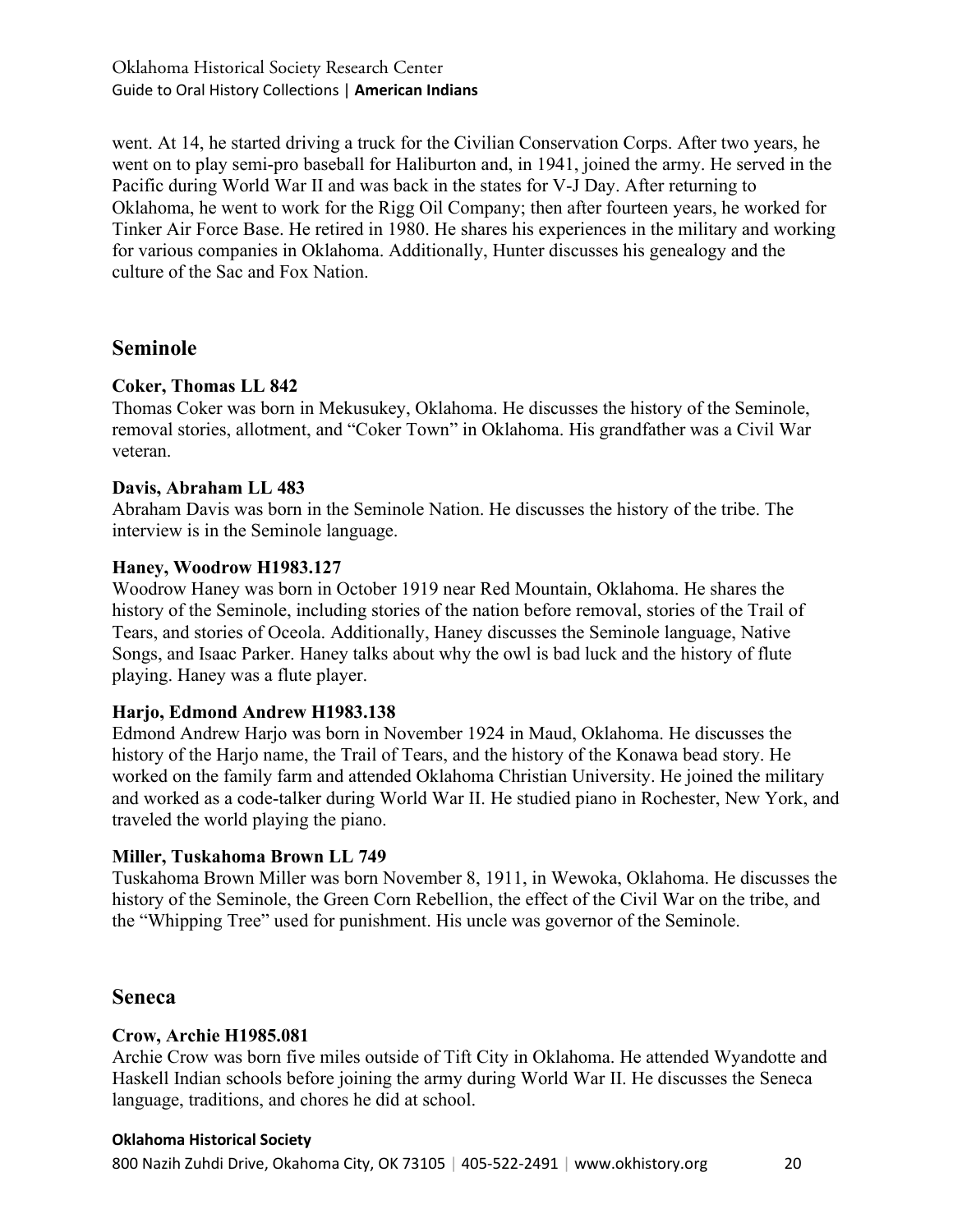went. At 14, he started driving a truck for the Civilian Conservation Corps. After two years, he went on to play semi-pro baseball for Haliburton and, in 1941, joined the army. He served in the Pacific during World War II and was back in the states for V-J Day. After returning to Oklahoma, he went to work for the Rigg Oil Company; then after fourteen years, he worked for Tinker Air Force Base. He retired in 1980. He shares his experiences in the military and working for various companies in Oklahoma. Additionally, Hunter discusses his genealogy and the culture of the Sac and Fox Nation.

# **Seminole**

# **Coker, Thomas LL 842**

Thomas Coker was born in Mekusukey, Oklahoma. He discusses the history of the Seminole, removal stories, allotment, and "Coker Town" in Oklahoma. His grandfather was a Civil War veteran.

# **Davis, Abraham LL 483**

Abraham Davis was born in the Seminole Nation. He discusses the history of the tribe. The interview is in the Seminole language.

# **Haney, Woodrow H1983.127**

Woodrow Haney was born in October 1919 near Red Mountain, Oklahoma. He shares the history of the Seminole, including stories of the nation before removal, stories of the Trail of Tears, and stories of Oceola. Additionally, Haney discusses the Seminole language, Native Songs, and Isaac Parker. Haney talks about why the owl is bad luck and the history of flute playing. Haney was a flute player.

# **Harjo, Edmond Andrew H1983.138**

Edmond Andrew Harjo was born in November 1924 in Maud, Oklahoma. He discusses the history of the Harjo name, the Trail of Tears, and the history of the Konawa bead story. He worked on the family farm and attended Oklahoma Christian University. He joined the military and worked as a code-talker during World War II. He studied piano in Rochester, New York, and traveled the world playing the piano.

# **Miller, Tuskahoma Brown LL 749**

Tuskahoma Brown Miller was born November 8, 1911, in Wewoka, Oklahoma. He discusses the history of the Seminole, the Green Corn Rebellion, the effect of the Civil War on the tribe, and the "Whipping Tree" used for punishment. His uncle was governor of the Seminole.

# **Seneca**

# **Crow, Archie H1985.081**

Archie Crow was born five miles outside of Tift City in Oklahoma. He attended Wyandotte and Haskell Indian schools before joining the army during World War II. He discusses the Seneca language, traditions, and chores he did at school.